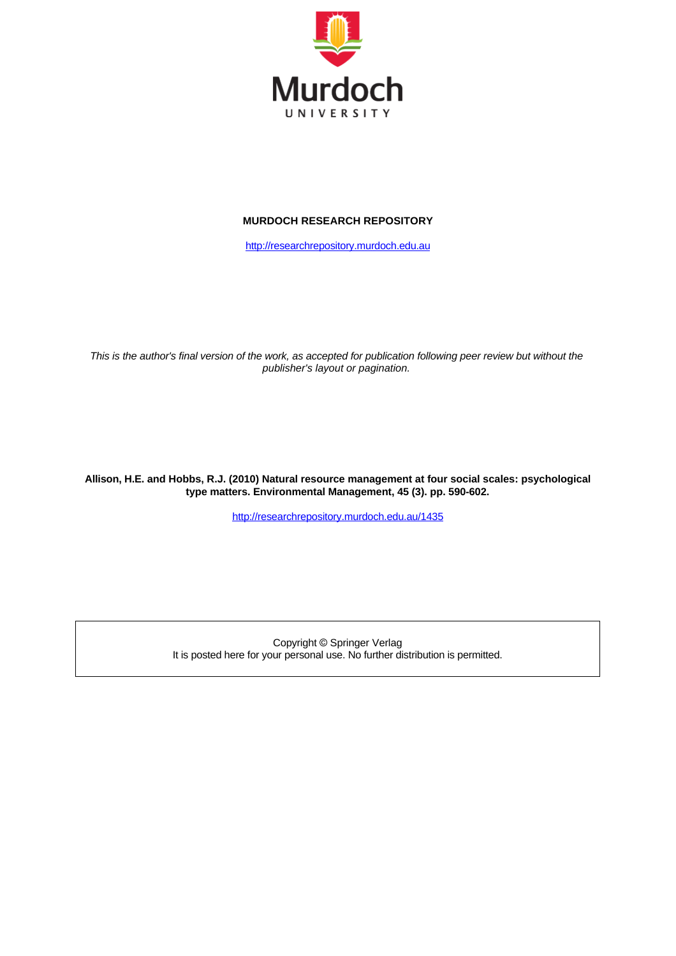

# **MURDOCH RESEARCH REPOSITORY**

[http://researchrepository.murdoch.edu.au](http://researchrepository.murdoch.edu.au/)

*This is the author's final version of the work, as accepted for publication following peer review but without the publisher's layout or pagination.*

**Allison, H.E. and Hobbs, R.J. (2010) Natural resource management at four social scales: psychological type matters. Environmental Management, 45 (3). pp. 590-602.**

<http://researchrepository.murdoch.edu.au/1435>

Copyright © Springer Verlag It is posted here for your personal use. No further distribution is permitted.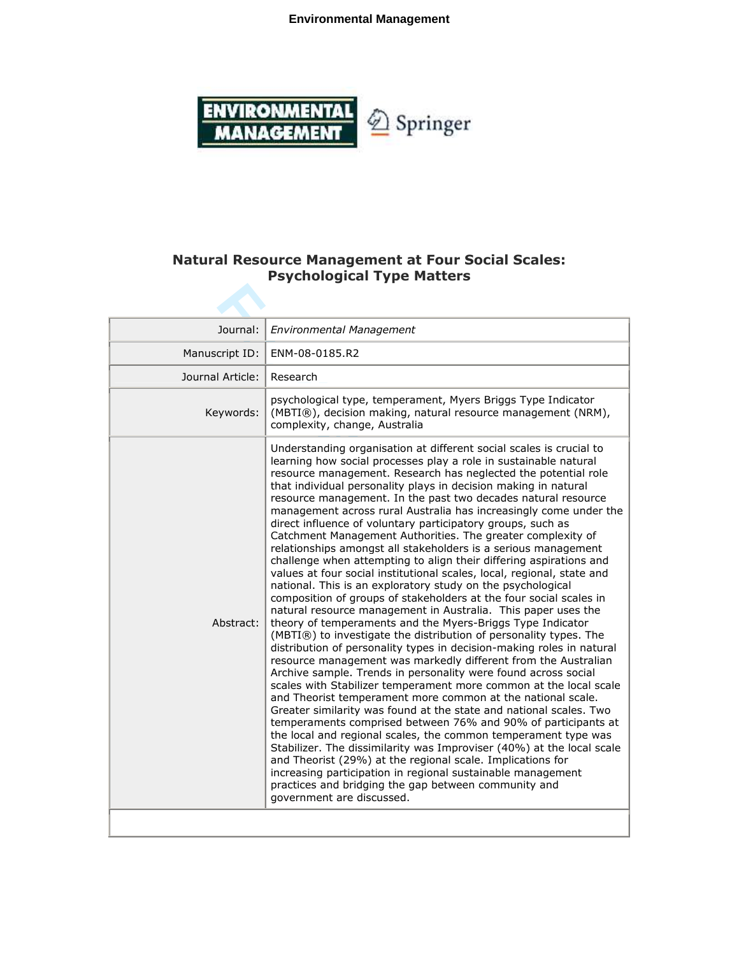# **Environmental Management**



# Natural Resource Management at Four Social Scales: Psychological Type Matters

| Journal:         | <b>Environmental Management</b>                                                                                                                                                                                                                                                                                                                                                                                                                                                                                                                                                                                                                                                                                                                                                                                                                                                                                                                                                                                                                                                                                                                                                                                                                                                                                                                                                                                                                                                                                                                                                                                                                                                                                                                                                                                                                                                                                                                                  |
|------------------|------------------------------------------------------------------------------------------------------------------------------------------------------------------------------------------------------------------------------------------------------------------------------------------------------------------------------------------------------------------------------------------------------------------------------------------------------------------------------------------------------------------------------------------------------------------------------------------------------------------------------------------------------------------------------------------------------------------------------------------------------------------------------------------------------------------------------------------------------------------------------------------------------------------------------------------------------------------------------------------------------------------------------------------------------------------------------------------------------------------------------------------------------------------------------------------------------------------------------------------------------------------------------------------------------------------------------------------------------------------------------------------------------------------------------------------------------------------------------------------------------------------------------------------------------------------------------------------------------------------------------------------------------------------------------------------------------------------------------------------------------------------------------------------------------------------------------------------------------------------------------------------------------------------------------------------------------------------|
| Manuscript ID:   | ENM-08-0185.R2                                                                                                                                                                                                                                                                                                                                                                                                                                                                                                                                                                                                                                                                                                                                                                                                                                                                                                                                                                                                                                                                                                                                                                                                                                                                                                                                                                                                                                                                                                                                                                                                                                                                                                                                                                                                                                                                                                                                                   |
| Journal Article: | Research                                                                                                                                                                                                                                                                                                                                                                                                                                                                                                                                                                                                                                                                                                                                                                                                                                                                                                                                                                                                                                                                                                                                                                                                                                                                                                                                                                                                                                                                                                                                                                                                                                                                                                                                                                                                                                                                                                                                                         |
| Keywords:        | psychological type, temperament, Myers Briggs Type Indicator<br>(MBTI®), decision making, natural resource management (NRM),<br>complexity, change, Australia                                                                                                                                                                                                                                                                                                                                                                                                                                                                                                                                                                                                                                                                                                                                                                                                                                                                                                                                                                                                                                                                                                                                                                                                                                                                                                                                                                                                                                                                                                                                                                                                                                                                                                                                                                                                    |
| Abstract:        | Understanding organisation at different social scales is crucial to<br>learning how social processes play a role in sustainable natural<br>resource management. Research has neglected the potential role<br>that individual personality plays in decision making in natural<br>resource management. In the past two decades natural resource<br>management across rural Australia has increasingly come under the<br>direct influence of voluntary participatory groups, such as<br>Catchment Management Authorities. The greater complexity of<br>relationships amongst all stakeholders is a serious management<br>challenge when attempting to align their differing aspirations and<br>values at four social institutional scales, local, regional, state and<br>national. This is an exploratory study on the psychological<br>composition of groups of stakeholders at the four social scales in<br>natural resource management in Australia. This paper uses the<br>theory of temperaments and the Myers-Briggs Type Indicator<br>(MBTI®) to investigate the distribution of personality types. The<br>distribution of personality types in decision-making roles in natural<br>resource management was markedly different from the Australian<br>Archive sample. Trends in personality were found across social<br>scales with Stabilizer temperament more common at the local scale<br>and Theorist temperament more common at the national scale.<br>Greater similarity was found at the state and national scales. Two<br>temperaments comprised between 76% and 90% of participants at<br>the local and regional scales, the common temperament type was<br>Stabilizer. The dissimilarity was Improviser (40%) at the local scale<br>and Theorist (29%) at the regional scale. Implications for<br>increasing participation in regional sustainable management<br>practices and bridging the gap between community and<br>government are discussed. |
|                  |                                                                                                                                                                                                                                                                                                                                                                                                                                                                                                                                                                                                                                                                                                                                                                                                                                                                                                                                                                                                                                                                                                                                                                                                                                                                                                                                                                                                                                                                                                                                                                                                                                                                                                                                                                                                                                                                                                                                                                  |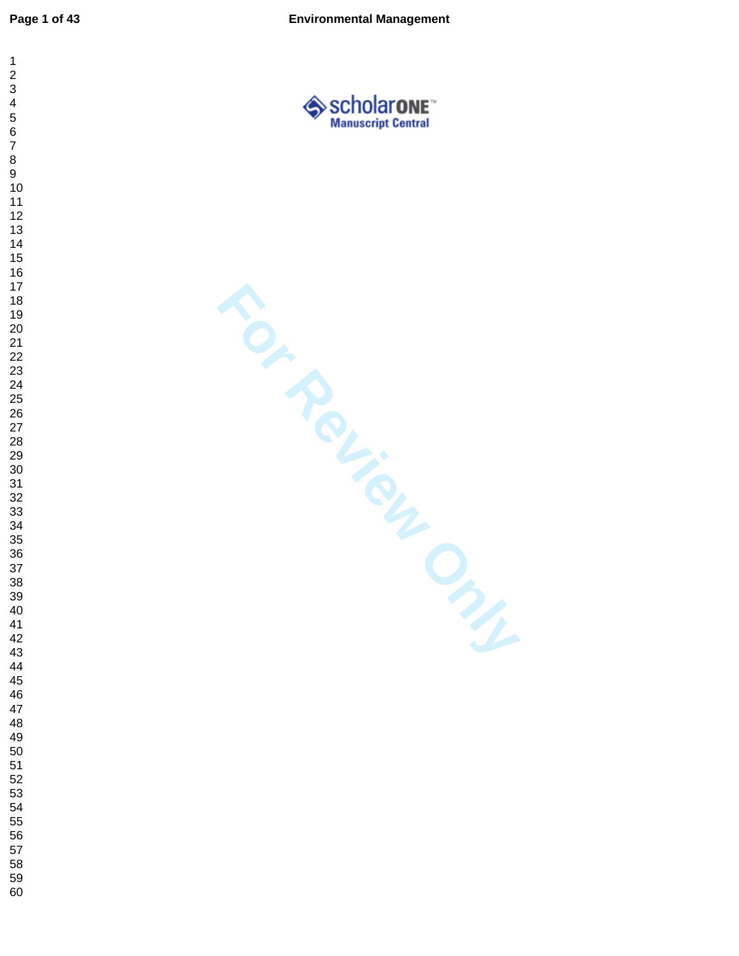$\mathbf 1$  $\overline{2}$ 



>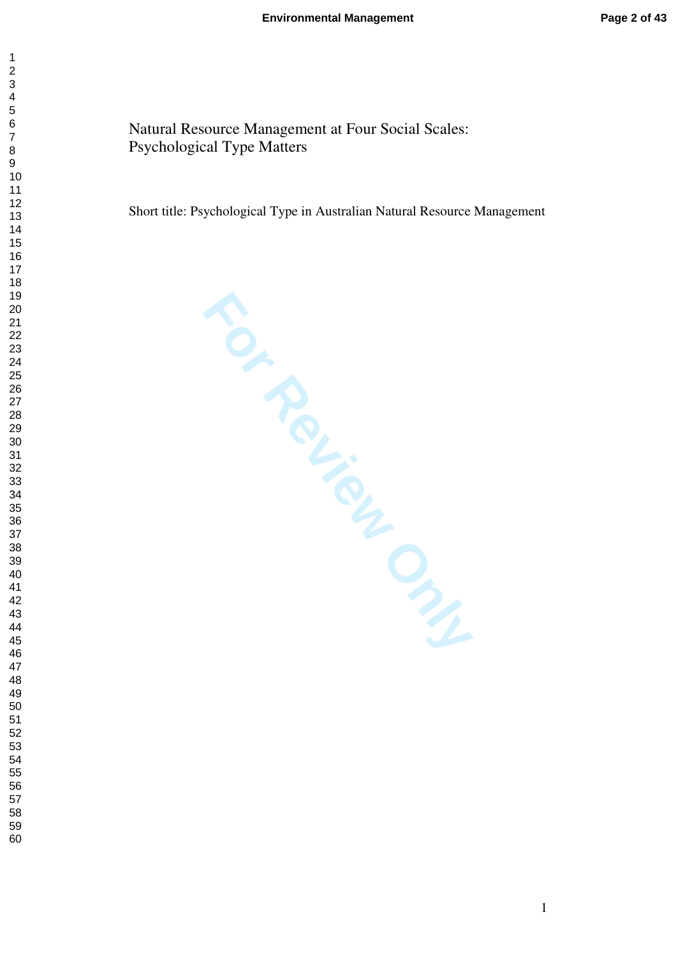# Natural Resource Management at Four Social Scales: Psychological Type Matters

Short title: Psychological Type in Australian Natural Resource Management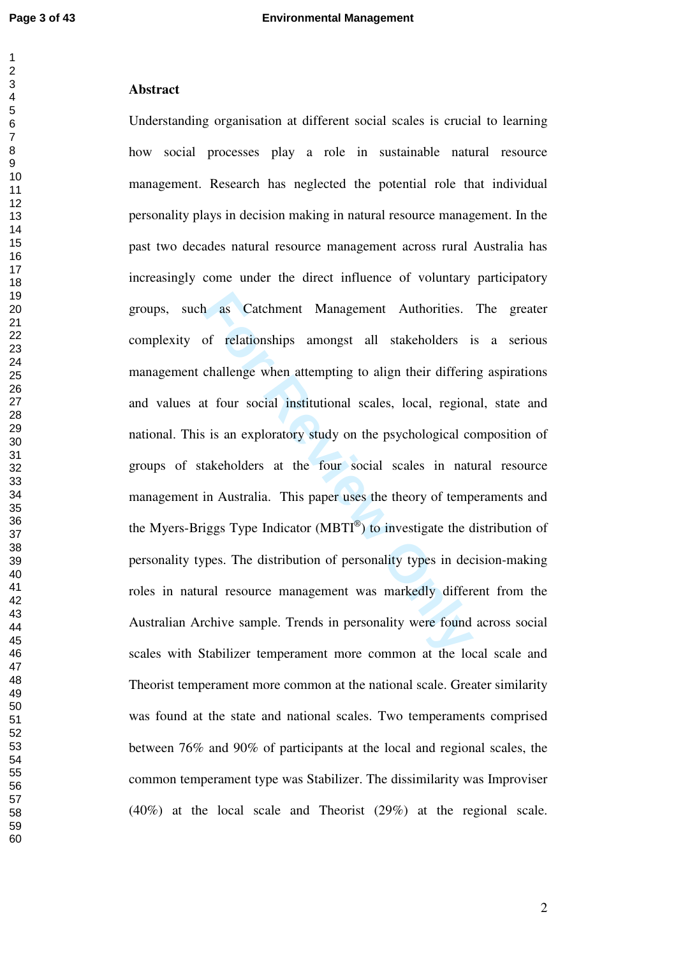#### **Abstract**

**Follow Exercise Set Alternative Set Alternatives** Sof relationships amongst all stakeholders is challenge when attempting to align their differir at four social institutional scales, local, region is is an exploratory stu Understanding organisation at different social scales is crucial to learning how social processes play a role in sustainable natural resource management. Research has neglected the potential role that individual personality plays in decision making in natural resource management. In the past two decades natural resource management across rural Australia has increasingly come under the direct influence of voluntary participatory groups, such as Catchment Management Authorities. The greater complexity of relationships amongst all stakeholders is a serious management challenge when attempting to align their differing aspirations and values at four social institutional scales, local, regional, state and national. This is an exploratory study on the psychological composition of groups of stakeholders at the four social scales in natural resource management in Australia. This paper uses the theory of temperaments and the Myers-Briggs Type Indicator (MBTI ® ) to investigate the distribution of personality types. The distribution of personality types in decision-making roles in natural resource management was markedly different from the Australian Archive sample. Trends in personality were found across social scales with Stabilizer temperament more common at the local scale and Theorist temperament more common at the national scale. Greater similarity was found at the state and national scales. Two temperaments comprised between 76% and 90% of participants at the local and regional scales, the common temperament type was Stabilizer. The dissimilarity was Improviser (40%) at the local scale and Theorist (29%) at the regional scale.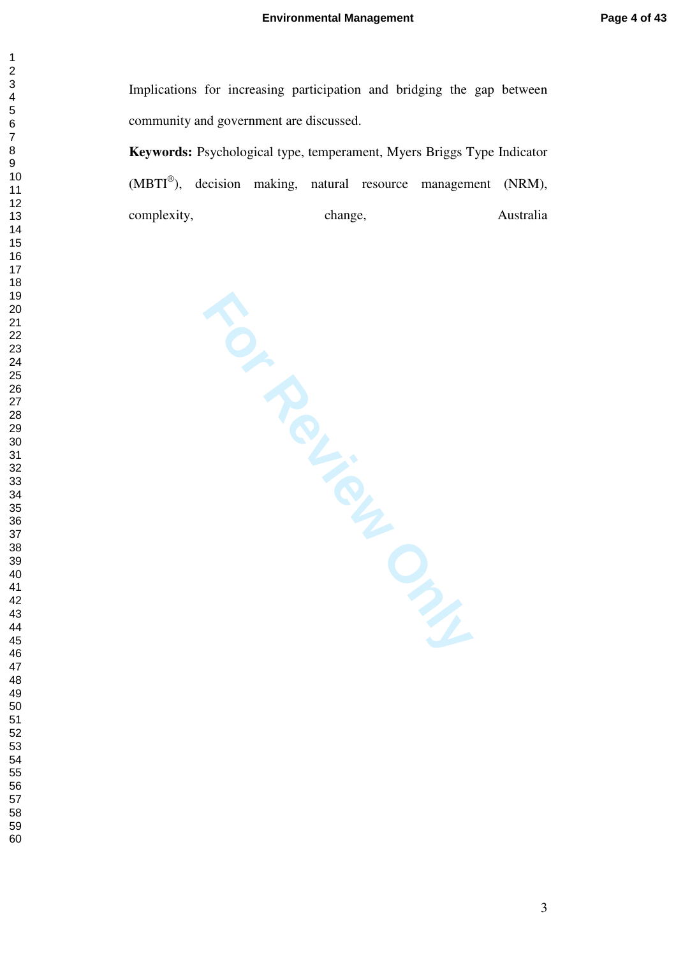Implications for increasing participation and bridging the gap between community and government are discussed.

**Keywords:** Psychological type, temperament, Myers Briggs Type Indicator  $(MBTI^{\circledcirc})$ , decision making, natural resource management (NRM), <sup>®</sup>), decision making, natural resource management (NRM), complexity, change, Australia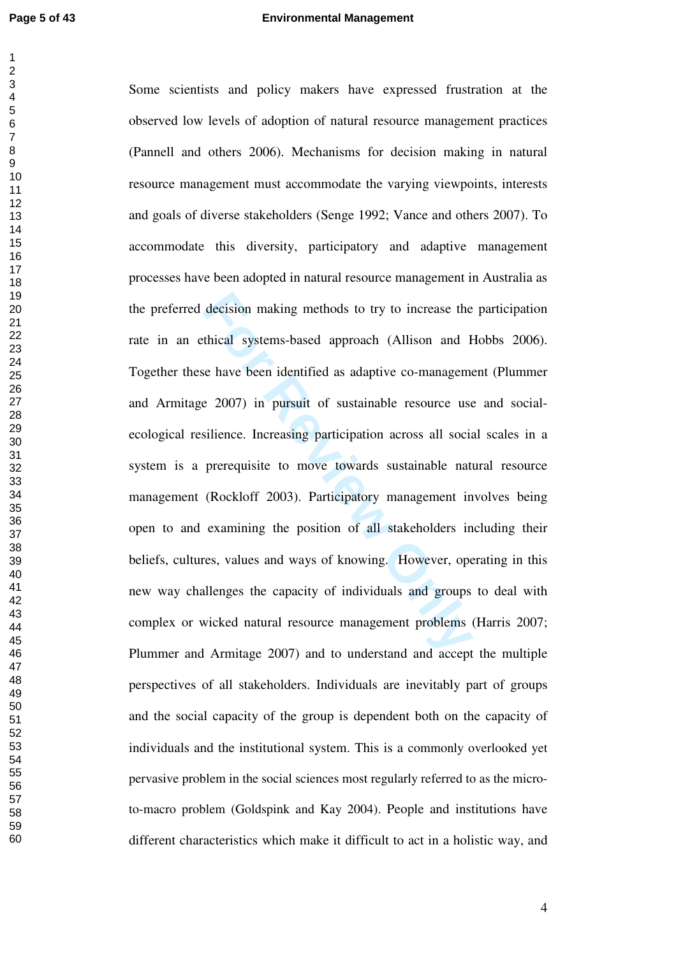# **Page 5 of 43 Environmental Management**

decision making methods to try to increase the<br>thical systems-based approach (Allison and F<br>se have been identified as adaptive co-manageme<br>e 2007) in pursuit of sustainable resource use<br>silience. Increasing participation Some scientists and policy makers have expressed frustration at the observed low levels of adoption of natural resource management practices (Pannell and others 2006). Mechanisms for decision making in natural resource management must accommodate the varying viewpoints, interests and goals of diverse stakeholders (Senge 1992; Vance and others 2007). To accommodate this diversity, participatory and adaptive management processes have been adopted in natural resource management in Australia as the preferred decision making methods to try to increase the participation rate in an ethical systems-based approach (Allison and Hobbs 2006). Together these have been identified as adaptive co-management (Plummer and Armitage 2007) in pursuit of sustainable resource use and socialecological resilience. Increasing participation across all social scales in a system is a prerequisite to move towards sustainable natural resource management (Rockloff 2003). Participatory management involves being open to and examining the position of all stakeholders including their beliefs, cultures, values and ways of knowing. However, operating in this new way challenges the capacity of individuals and groups to deal with complex or wicked natural resource management problems (Harris 2007; Plummer and Armitage 2007) and to understand and accept the multiple perspectives of all stakeholders. Individuals are inevitably part of groups and the social capacity of the group is dependent both on the capacity of individuals and the institutional system. This is a commonly overlooked yet pervasive problem in the social sciences most regularly referred to as the microto-macro problem (Goldspink and Kay 2004). People and institutions have different characteristics which make it difficult to act in a holistic way, and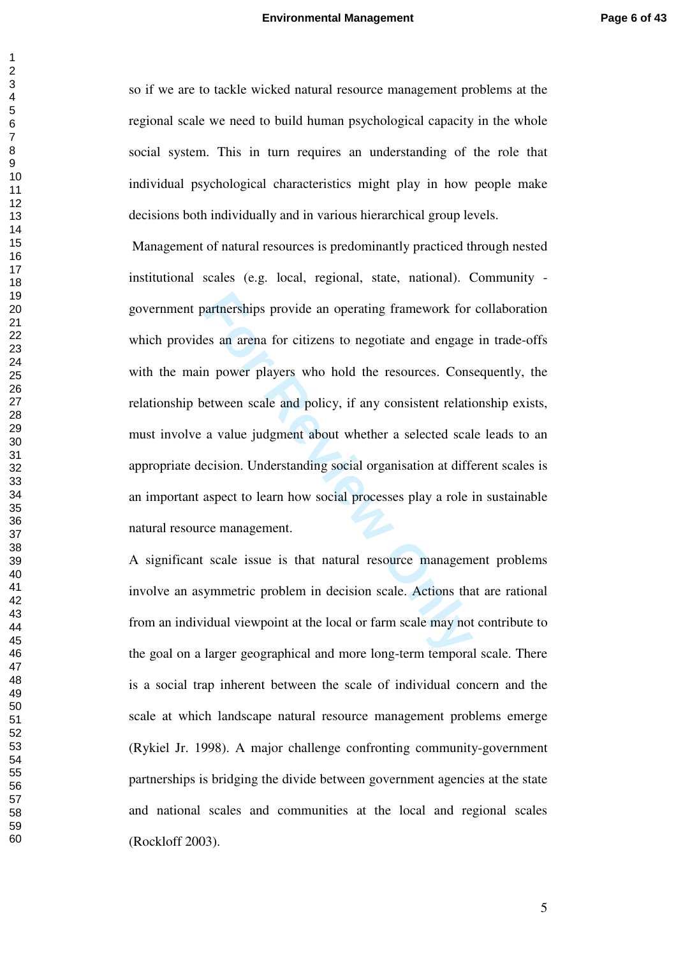so if we are to tackle wicked natural resource management problems at the regional scale we need to build human psychological capacity in the whole social system. This in turn requires an understanding of the role that individual psychological characteristics might play in how people make decisions both individually and in various hierarchical group levels.

partnerships provide an operating framework for<br>es an arena for citizens to negotiate and engage<br>n power players who hold the resources. Cons<br>etween scale and policy, if any consistent relation<br>a value judgment about wheth Management of natural resources is predominantly practiced through nested institutional scales (e.g. local, regional, state, national). Community government partnerships provide an operating framework for collaboration which provides an arena for citizens to negotiate and engage in trade-offs with the main power players who hold the resources. Consequently, the relationship between scale and policy, if any consistent relationship exists, must involve a value judgment about whether a selected scale leads to an appropriate decision. Understanding social organisation at different scales is an important aspect to learn how social processes play a role in sustainable natural resource management.

A significant scale issue is that natural resource management problems involve an asymmetric problem in decision scale. Actions that are rational from an individual viewpoint at the local or farm scale may not contribute to the goal on a larger geographical and more long-term temporal scale. There is a social trap inherent between the scale of individual concern and the scale at which landscape natural resource management problems emerge (Rykiel Jr. 1998). A major challenge confronting community-government partnerships is bridging the divide between government agencies at the state and national scales and communities at the local and regional scales (Rockloff 2003).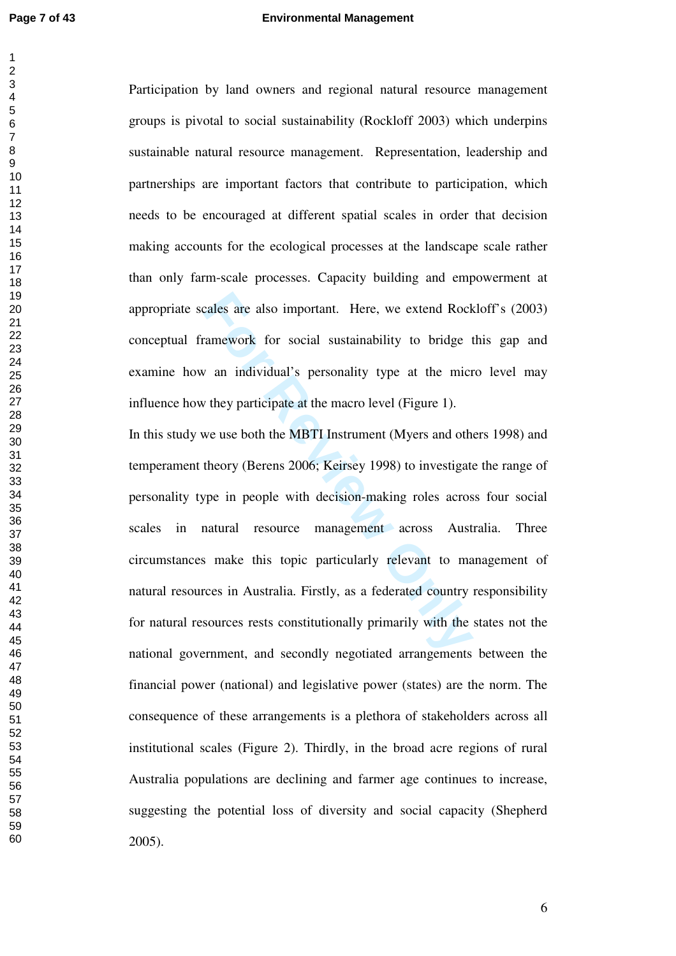$\overline{1}$  $\overline{2}$  $\overline{4}$  $\overline{7}$ 

#### **Page 7 of 43 Environmental Management**

Participation by land owners and regional natural resource management groups is pivotal to social sustainability (Rockloff 2003) which underpins sustainable natural resource management. Representation, leadership and partnerships are important factors that contribute to participation, which needs to be encouraged at different spatial scales in order that decision making accounts for the ecological processes at the landscape scale rather than only farm-scale processes. Capacity building and empowerment at appropriate scales are also important. Here, we extend Rockloff's (2003) conceptual framework for social sustainability to bridge this gap and examine how an individual's personality type at the micro level may influence how they participate at the macro level (Figure 1).

cales are also important. Here, we extend Rock<br>ramework for social sustainability to bridge t<br>*H* an individual's personality type at the micr<br>*H* they participate at the macro level (Figure 1).<br>We use both the MBTI Instru In this study we use both the MBTI Instrument (Myers and others 1998) and temperament theory (Berens 2006; Keirsey 1998) to investigate the range of personality type in people with decision-making roles across four social scales in natural resource management across Australia. Three circumstances make this topic particularly relevant to management of natural resources in Australia. Firstly, as a federated country responsibility for natural resources rests constitutionally primarily with the states not the national government, and secondly negotiated arrangements between the financial power (national) and legislative power (states) are the norm. The consequence of these arrangements is a plethora of stakeholders across all institutional scales (Figure 2). Thirdly, in the broad acre regions of rural Australia populations are declining and farmer age continues to increase, suggesting the potential loss of diversity and social capacity (Shepherd 2005).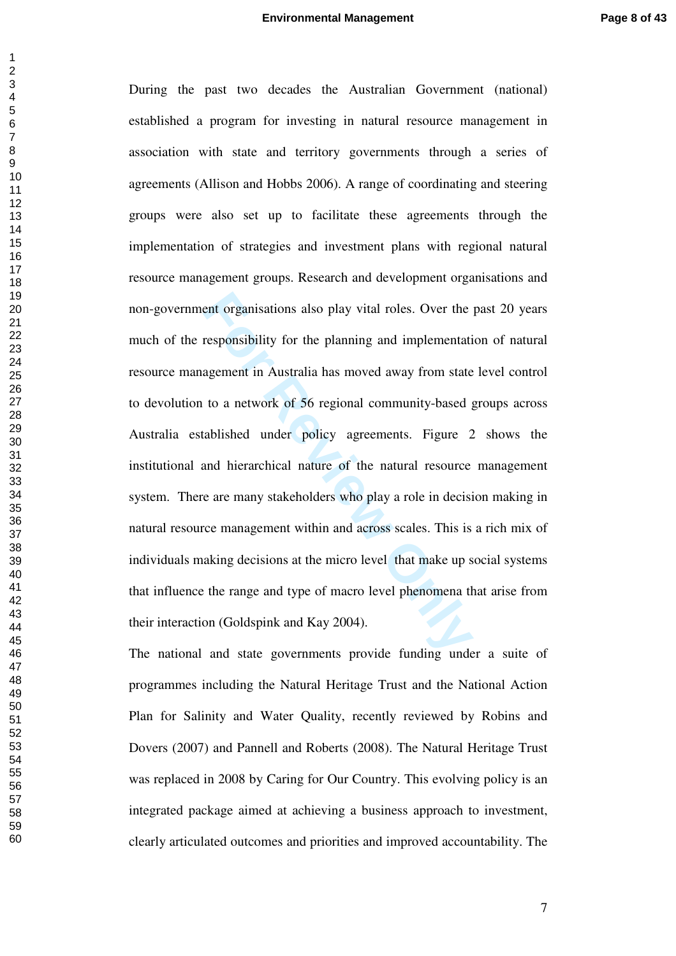ent organisations also play vital roles. Over the responsibility for the planning and implementati agement in Australia has moved away from state to a network of 56 regional community-based gablished under policy agreement During the past two decades the Australian Government (national) established a program for investing in natural resource management in association with state and territory governments through a series of agreements (Allison and Hobbs 2006). A range of coordinating and steering groups were also set up to facilitate these agreements through the implementation of strategies and investment plans with regional natural resource management groups. Research and development organisations and non-government organisations also play vital roles. Over the past 20 years much of the responsibility for the planning and implementation of natural resource management in Australia has moved away from state level control to devolution to a network of 56 regional community-based groups across Australia established under policy agreements. Figure 2 shows the institutional and hierarchical nature of the natural resource management system. There are many stakeholders who play a role in decision making in natural resource management within and across scales. This is a rich mix of individuals making decisions at the micro level that make up social systems that influence the range and type of macro level phenomena that arise from their interaction (Goldspink and Kay 2004).

The national and state governments provide funding under a suite of programmes including the Natural Heritage Trust and the National Action Plan for Salinity and Water Quality, recently reviewed by Robins and Dovers (2007) and Pannell and Roberts (2008). The Natural Heritage Trust was replaced in 2008 by Caring for Our Country. This evolving policy is an integrated package aimed at achieving a business approach to investment, clearly articulated outcomes and priorities and improved accountability. The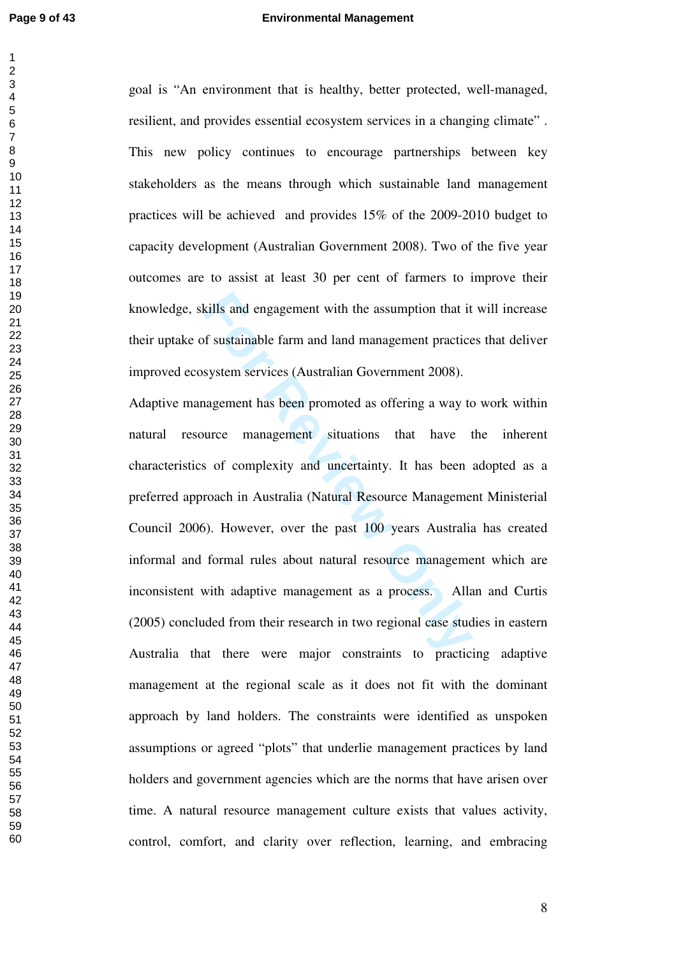goal is "An environment that is healthy, better protected, well-managed, resilient, and provides essential ecosystem services in a changing climate" . This new policy continues to encourage partnerships between key stakeholders as the means through which sustainable land management practices will be achieved and provides 15% of the 2009-2010 budget to capacity development (Australian Government 2008). Two of the five year outcomes are to assist at least 30 per cent of farmers to improve their knowledge, skills and engagement with the assumption that it will increase their uptake of sustainable farm and land management practices that deliver improved ecosystem services (Australian Government 2008).

kills and engagement with the assumption that it<br>of sustainable farm and land management practice<br>system services (Australian Government 2008).<br>nagement has been promoted as offering a way to<br>uurce management situations th Adaptive management has been promoted as offering a way to work within natural resource management situations that have the inherent characteristics of complexity and uncertainty. It has been adopted as a preferred approach in Australia (Natural Resource Management Ministerial Council 2006). However, over the past 100 years Australia has created informal and formal rules about natural resource management which are inconsistent with adaptive management as a process. Allan and Curtis (2005) concluded from their research in two regional case studies in eastern Australia that there were major constraints to practicing adaptive management at the regional scale as it does not fit with the dominant approach by land holders. The constraints were identified as unspoken assumptions or agreed "plots" that underlie management practices by land holders and government agencies which are the norms that have arisen over time. A natural resource management culture exists that values activity, control, comfort, and clarity over reflection, learning, and embracing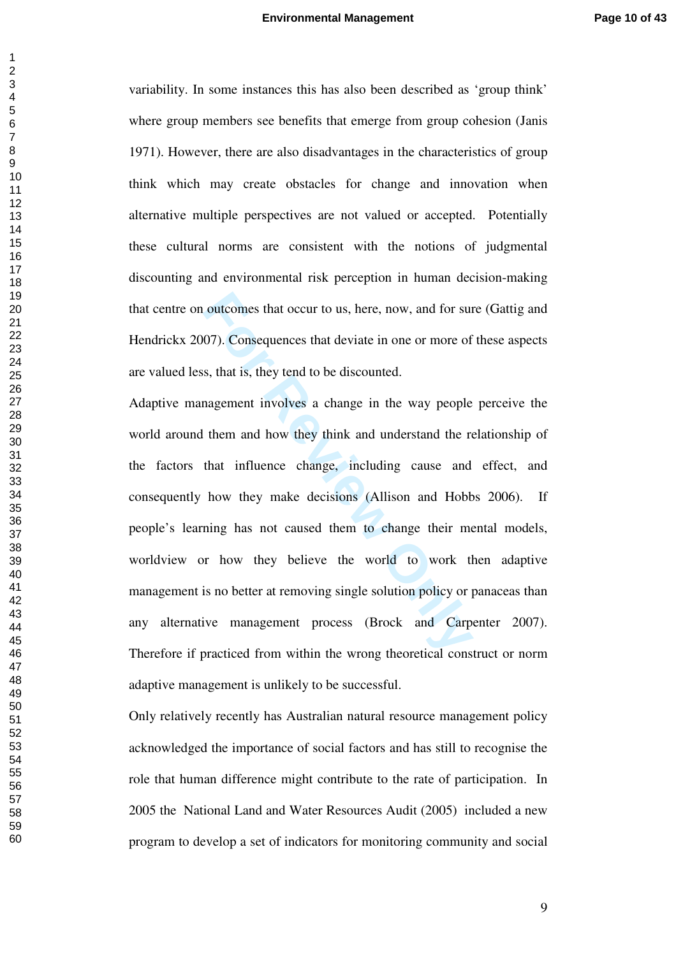variability. In some instances this has also been described as 'group think' where group members see benefits that emerge from group cohesion (Janis 1971). However, there are also disadvantages in the characteristics of group think which may create obstacles for change and innovation when alternative multiple perspectives are not valued or accepted. Potentially these cultural norms are consistent with the notions of judgmental discounting and environmental risk perception in human decision-making that centre on outcomes that occur to us, here, now, and for sure (Gattig and Hendrickx 2007). Consequences that deviate in one or more of these aspects are valued less, that is, they tend to be discounted.

outcomes that occur to us, here, now, and for sur<br>07). Consequences that deviate in one or more of<br>s, that is, they tend to be discounted.<br>magement involves a change in the way people<br>them and how they think and understand Adaptive management involves a change in the way people perceive the world around them and how they think and understand the relationship of the factors that influence change, including cause and effect, and consequently how they make decisions (Allison and Hobbs 2006). If people's learning has not caused them to change their mental models, worldview or how they believe the world to work then adaptive management is no better at removing single solution policy or panaceas than any alternative management process (Brock and Carpenter 2007). Therefore if practiced from within the wrong theoretical construct or norm adaptive management is unlikely to be successful.

Only relatively recently has Australian natural resource management policy acknowledged the importance of social factors and has still to recognise the role that human difference might contribute to the rate of participation. In 2005 the National Land and Water Resources Audit (2005) included a new program to develop a set of indicators for monitoring community and social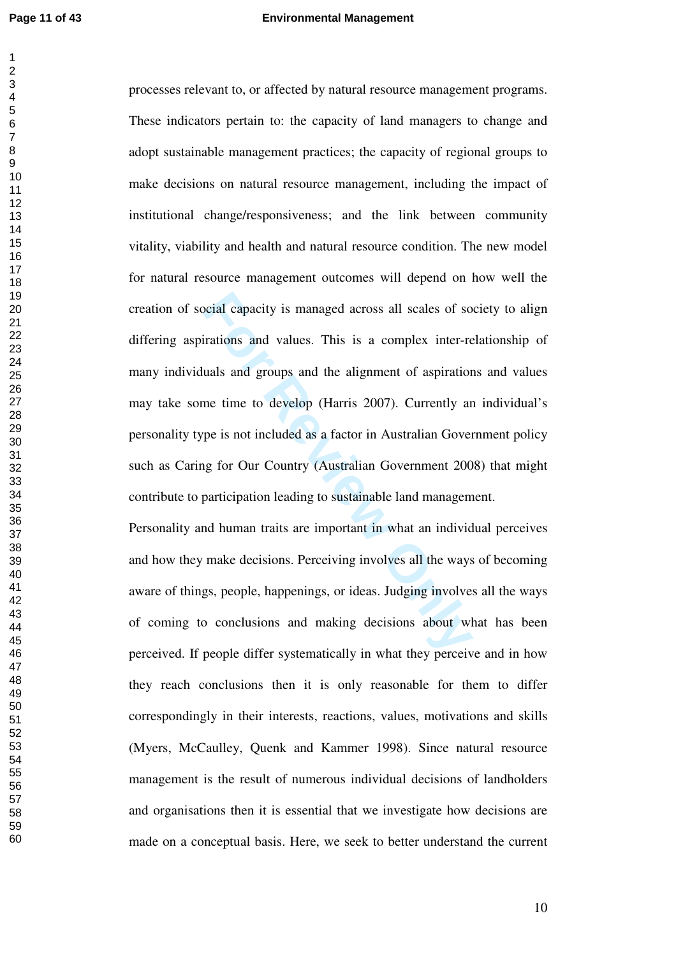### **Page 11 of 43 Environmental Management**

ocial capacity is managed across all scales of soircitions and values. This is a complex inter-re<br>uals and groups and the alignment of aspiration<br>me time to develop (Harris 2007). Currently an<br>pe is not included as a facto processes relevant to, or affected by natural resource management programs. These indicators pertain to: the capacity of land managers to change and adopt sustainable management practices; the capacity of regional groups to make decisions on natural resource management, including the impact of institutional change/responsiveness; and the link between community vitality, viability and health and natural resource condition. The new model for natural resource management outcomes will depend on how well the creation of social capacity is managed across all scales of society to align differing aspirations and values. This is a complex inter-relationship of many individuals and groups and the alignment of aspirations and values may take some time to develop (Harris 2007). Currently an individual's personality type is not included as a factor in Australian Government policy such as Caring for Our Country (Australian Government 2008) that might contribute to participation leading to sustainable land management.

Personality and human traits are important in what an individual perceives and how they make decisions. Perceiving involves all the ways of becoming aware of things, people, happenings, or ideas. Judging involves all the ways of coming to conclusions and making decisions about what has been perceived. If people differ systematically in what they perceive and in how they reach conclusions then it is only reasonable for them to differ correspondingly in their interests, reactions, values, motivations and skills (Myers, McCaulley, Quenk and Kammer 1998). Since natural resource management is the result of numerous individual decisions of landholders and organisations then it is essential that we investigate how decisions are made on a conceptual basis. Here, we seek to better understand the current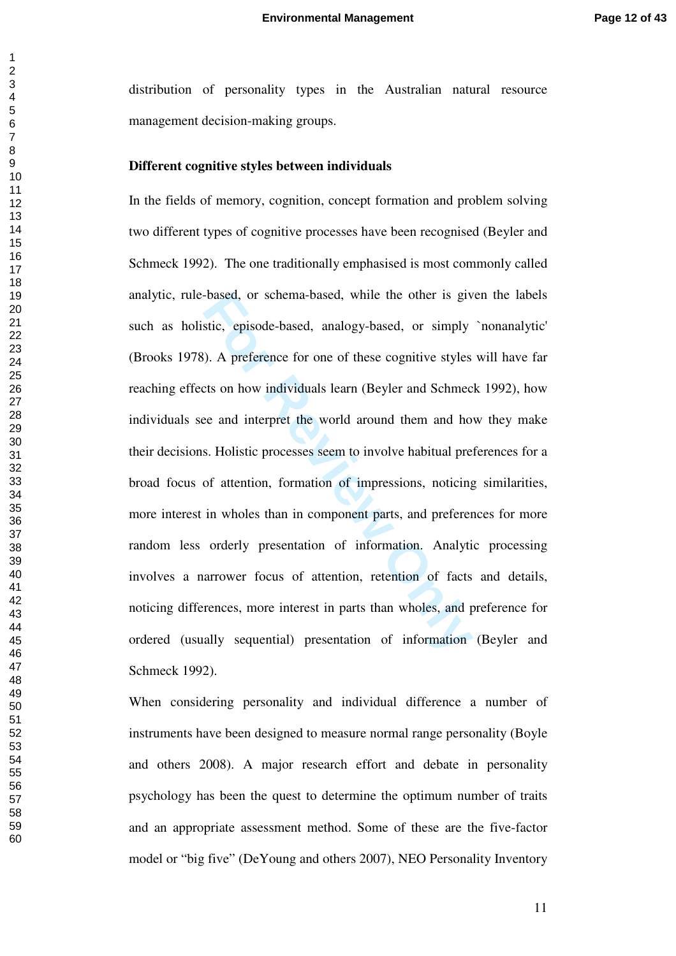distribution of personality types in the Australian natural resource management decision-making groups.

#### **Different cognitive styles between individuals**

-based, or schema-based, while the other is givestic, episode-based, analogy-based, or simply<br>stic, episode-based, analogy-based, or simply<br>stics on how individuals learn (Beyler and Schmec<br>ee and interpret the world aroun In the fields of memory, cognition, concept formation and problem solving two different types of cognitive processes have been recognised (Beyler and Schmeck 1992). The one traditionally emphasised is most commonly called analytic, rule-based, or schema-based, while the other is given the labels such as holistic, episode-based, analogy-based, or simply `nonanalytic' (Brooks 1978). A preference for one of these cognitive styles will have far reaching effects on how individuals learn (Beyler and Schmeck 1992), how individuals see and interpret the world around them and how they make their decisions. Holistic processes seem to involve habitual preferences for a broad focus of attention, formation of impressions, noticing similarities, more interest in wholes than in component parts, and preferences for more random less orderly presentation of information. Analytic processing involves a narrower focus of attention, retention of facts and details, noticing differences, more interest in parts than wholes, and preference for ordered (usually sequential) presentation of information (Beyler and Schmeck 1992).

When considering personality and individual difference a number of instruments have been designed to measure normal range personality (Boyle and others 2008). A major research effort and debate in personality psychology has been the quest to determine the optimum number of traits and an appropriate assessment method. Some of these are the five-factor model or "big five" (DeYoung and others 2007), NEO Personality Inventory

 $\overline{1}$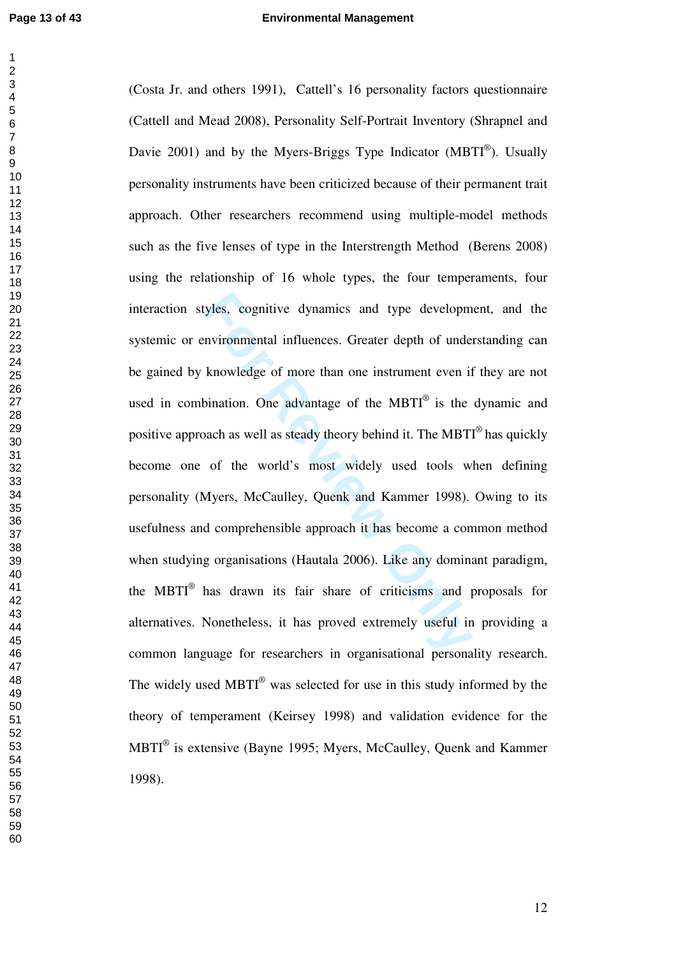tyles, cognitive dynamics and type developm<br>environmental influences. Greater depth of under<br>knowledge of more than one instrument even if<br>bination. One advantage of the MBTI® is the<br>pach as well as steady theory behind it (Costa Jr. and others 1991), Cattell's 16 personality factors questionnaire (Cattell and Mead 2008), Personality Self-Portrait Inventory (Shrapnel and Davie 2001) and by the Myers-Briggs Type Indicator (MBTI®). Usually personality instruments have been criticized because of their permanent trait approach. Other researchers recommend using multiple-model methods such as the five lenses of type in the Interstrength Method (Berens 2008) using the relationship of 16 whole types, the four temperaments, four interaction styles, cognitive dynamics and type development, and the systemic or environmental influences. Greater depth of understanding can be gained by knowledge of more than one instrument even if they are not used in combination. One advantage of the MBTI<sup>®</sup> is the dynamic and positive approach as well as steady theory behind it. The MBTI® has quickly become one of the world's most widely used tools when defining personality (Myers, McCaulley, Quenk and Kammer 1998). Owing to its usefulness and comprehensible approach it has become a common method when studying organisations (Hautala 2006). Like any dominant paradigm, the MBTI® has drawn its fair share of criticisms and proposals for alternatives. Nonetheless, it has proved extremely useful in providing a common language for researchers in organisational personality research. The widely used MBTI $^{\circ}$  was selected for use in this study informed by the theory of temperament (Keirsey 1998) and validation evidence for the MBTI<sup>®</sup> is extensive (Bayne 1995; Myers, McCaulley, Quenk and Kammer 1998).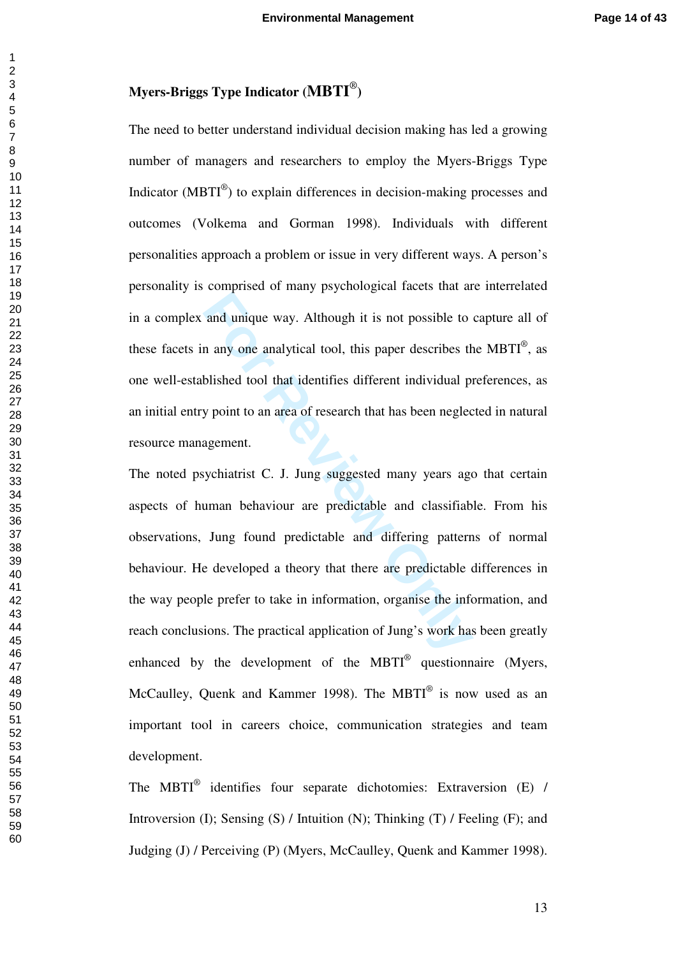# **Myers-Briggs Type Indicator (MBTI** *®* **)**

The need to better understand individual decision making has led a growing number of managers and researchers to employ the Myers-Briggs Type Indicator (MBTI<sup>®</sup>) to explain differences in decision-making processes and outcomes (Volkema and Gorman 1998). Individuals with different personalities approach a problem or issue in very different ways. A person's personality is comprised of many psychological facets that are interrelated in a complex and unique way. Although it is not possible to capture all of these facets in any one analytical tool, this paper describes the MBTI $^{\circ}$ , as one well-established tool that identifies different individual preferences, as an initial entry point to an area of research that has been neglected in natural resource management.

and unique way. Although it is not possible to an any one analytical tool, this paper describes the blished tool that identifies different individual proposition of proposition of research that has been neglect agement.<br>
E The noted psychiatrist C. J. Jung suggested many years ago that certain aspects of human behaviour are predictable and classifiable. From his observations, Jung found predictable and differing patterns of normal behaviour. He developed a theory that there are predictable differences in the way people prefer to take in information, organise the information, and reach conclusions. The practical application of Jung's work has been greatly enhanced by the development of the MBTI<sup>®</sup> questionnaire (Myers, McCaulley, Quenk and Kammer 1998). The MBTI<sup>®</sup> is now used as an important tool in careers choice, communication strategies and team development.

The MBTI $^{\circ}$  identifies four separate dichotomies: Extraversion (E) / Introversion (I); Sensing (S) / Intuition (N); Thinking (T) / Feeling (F); and Judging (J) / Perceiving (P) (Myers, McCaulley, Quenk and Kammer 1998).

 $\overline{1}$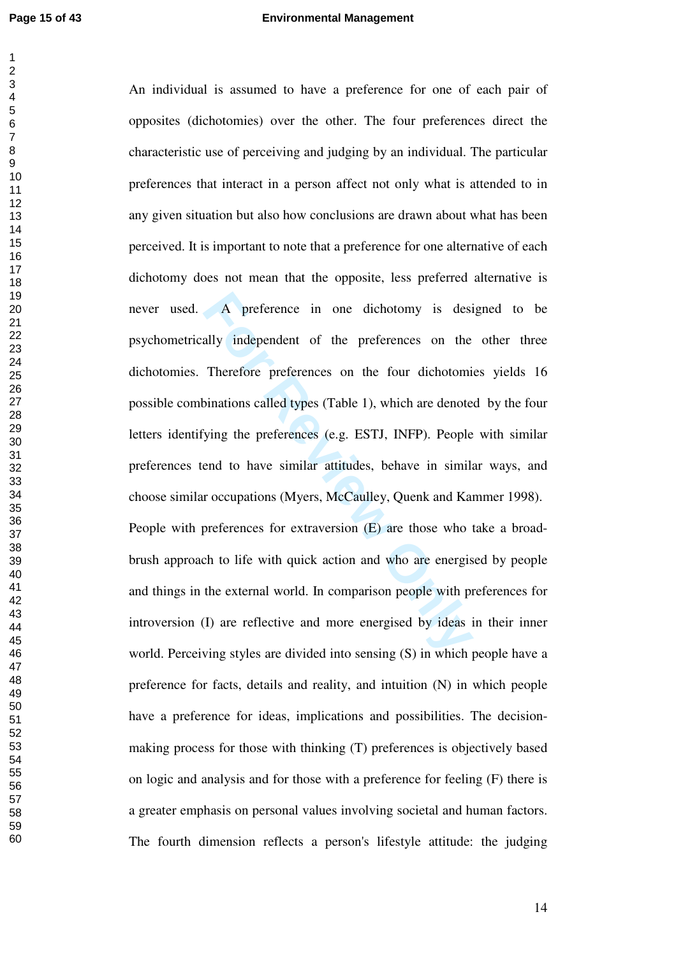A preference in one dichotomy is desially independent of the preferences on the Therefore preferences on the four dichotomionizations called types (Table 1), which are denote ying the preferences (e.g. ESTJ, INFP). People An individual is assumed to have a preference for one of each pair of opposites (dichotomies) over the other. The four preferences direct the characteristic use of perceiving and judging by an individual. The particular preferences that interact in a person affect not only what is attended to in any given situation but also how conclusions are drawn about what has been perceived. It is important to note that a preference for one alternative of each dichotomy does not mean that the opposite, less preferred alternative is never used. A preference in one dichotomy is designed to be psychometrically independent of the preferences on the other three dichotomies. Therefore preferences on the four dichotomies yields 16 possible combinations called types (Table 1), which are denoted by the four letters identifying the preferences (e.g. ESTJ, INFP). People with similar preferences tend to have similar attitudes, behave in similar ways, and choose similar occupations (Myers, McCaulley, Quenk and Kammer 1998). People with preferences for extraversion (E) are those who take a broadbrush approach to life with quick action and who are energised by people and things in the external world. In comparison people with preferences for introversion (I) are reflective and more energised by ideas in their inner world. Perceiving styles are divided into sensing (S) in which people have a preference for facts, details and reality, and intuition (N) in which people have a preference for ideas, implications and possibilities. The decisionmaking process for those with thinking (T) preferences is objectively based on logic and analysis and for those with a preference for feeling (F) there is a greater emphasis on personal values involving societal and human factors. The fourth dimension reflects a person's lifestyle attitude: the judging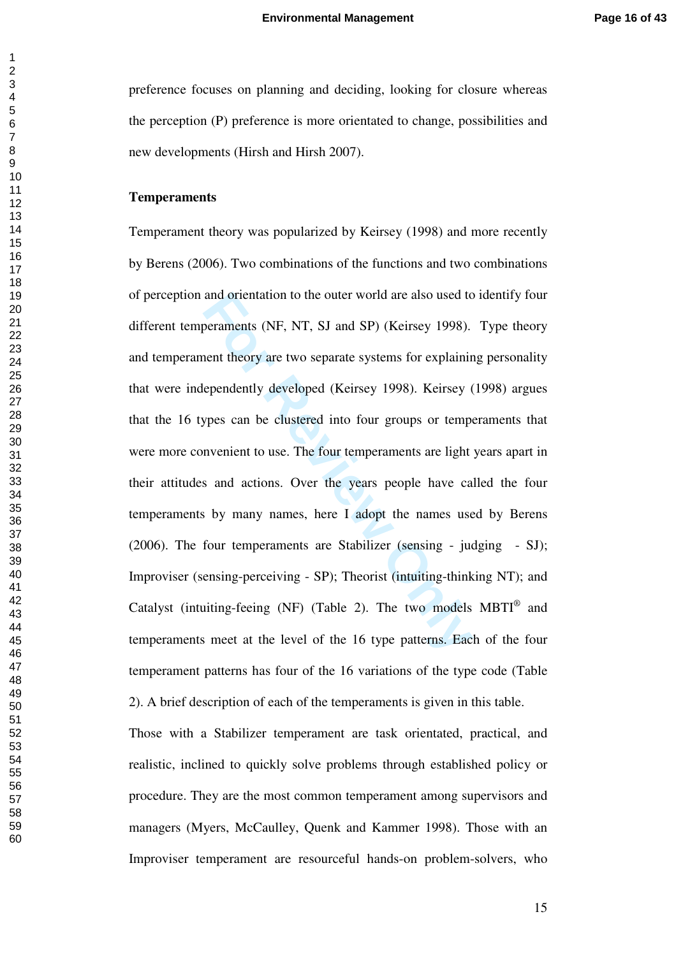preference focuses on planning and deciding, looking for closure whereas the perception (P) preference is more orientated to change, possibilities and new developments (Hirsh and Hirsh 2007).

## **Temperaments**

and orientation to the outer world are also used to<br>peraments (NF, NT, SJ and SP) (Keirsey 1998).<br>hent theory are two separate systems for explaining<br>ependently developed (Keirsey 1998). Keirsey (<br>ypes can be clustered int Temperament theory was popularized by Keirsey (1998) and more recently by Berens (2006). Two combinations of the functions and two combinations of perception and orientation to the outer world are also used to identify four different temperaments (NF, NT, SJ and SP) (Keirsey 1998). Type theory and temperament theory are two separate systems for explaining personality that were independently developed (Keirsey 1998). Keirsey (1998) argues that the 16 types can be clustered into four groups or temperaments that were more convenient to use. The four temperaments are light years apart in their attitudes and actions. Over the years people have called the four temperaments by many names, here I adopt the names used by Berens (2006). The four temperaments are Stabilizer (sensing - judging - SJ); Improviser (sensing-perceiving - SP); Theorist (intuiting-thinking NT); and Catalyst (intuiting-feeing (NF) (Table 2). The two models  $MBTI^@$  and temperaments meet at the level of the 16 type patterns. Each of the four temperament patterns has four of the 16 variations of the type code (Table 2). A brief description of each of the temperaments is given in this table.

Those with a Stabilizer temperament are task orientated, practical, and realistic, inclined to quickly solve problems through established policy or procedure. They are the most common temperament among supervisors and managers (Myers, McCaulley, Quenk and Kammer 1998). Those with an Improviser temperament are resourceful hands-on problem-solvers, who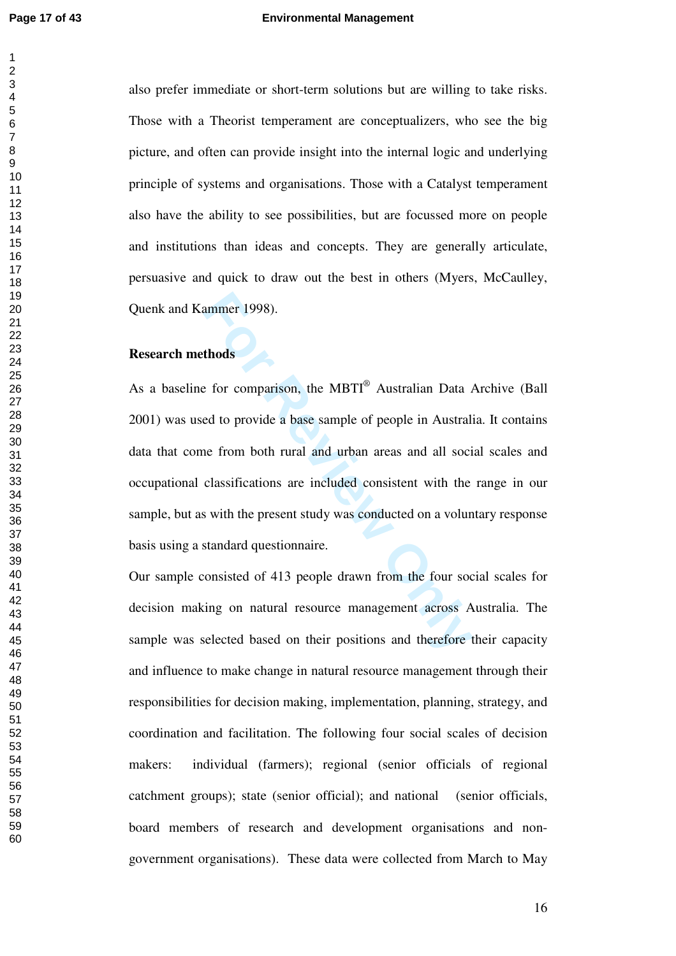#### **Page 17 of 43 Environmental Management**

also prefer immediate or short-term solutions but are willing to take risks. Those with a Theorist temperament are conceptualizers, who see the big picture, and often can provide insight into the internal logic and underlying principle of systems and organisations. Those with a Catalyst temperament also have the ability to see possibilities, but are focussed more on people and institutions than ideas and concepts. They are generally articulate, persuasive and quick to draw out the best in others (Myers, McCaulley, Quenk and Kammer 1998).

# **Research methods**

ammer 1998).<br> **fhods**<br>
e for comparison, the MBTI® Australian Data A<br>
ed to provide a base sample of people in Australian<br>
ne from both rural and urban areas and all soci<br>
classifications are included consistent with the<br> As a baseline for comparison, the MBTI® Australian Data Archive (Ball 2001) was used to provide a base sample of people in Australia. It contains data that come from both rural and urban areas and all social scales and occupational classifications are included consistent with the range in our sample, but as with the present study was conducted on a voluntary response basis using a standard questionnaire.

Our sample consisted of 413 people drawn from the four social scales for decision making on natural resource management across Australia. The sample was selected based on their positions and therefore their capacity and influence to make change in natural resource management through their responsibilities for decision making, implementation, planning, strategy, and coordination and facilitation. The following four social scales of decision makers: individual (farmers); regional (senior officials of regional catchment groups); state (senior official); and national (senior officials, board members of research and development organisations and nongovernment organisations). These data were collected from March to May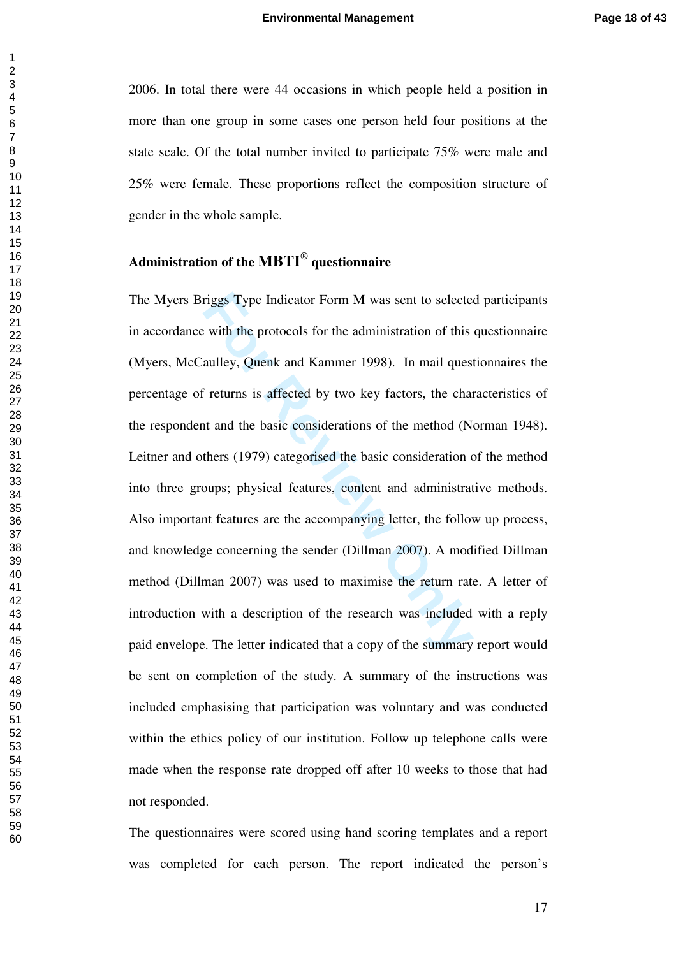2006. In total there were 44 occasions in which people held a position in more than one group in some cases one person held four positions at the state scale. Of the total number invited to participate 75% were male and 25% were female. These proportions reflect the composition structure of gender in the whole sample.

# **Administration of the MBTI** *®*  **questionnaire**

riggs Type Indicator Form M was sent to selected<br>
in with the protocols for the administration of this<br>
aulley, Quenk and Kammer 1998). In mail quest<br>
in the and the basic considerations of the method (Not<br>
inters (1979) c The Myers Briggs Type Indicator Form M was sent to selected participants in accordance with the protocols for the administration of this questionnaire (Myers, McCaulley, Quenk and Kammer 1998). In mail questionnaires the percentage of returns is affected by two key factors, the characteristics of the respondent and the basic considerations of the method (Norman 1948). Leitner and others (1979) categorised the basic consideration of the method into three groups; physical features, content and administrative methods. Also important features are the accompanying letter, the follow up process, and knowledge concerning the sender (Dillman 2007). A modified Dillman method (Dillman 2007) was used to maximise the return rate. A letter of introduction with a description of the research was included with a reply paid envelope. The letter indicated that a copy of the summary report would be sent on completion of the study. A summary of the instructions was included emphasising that participation was voluntary and was conducted within the ethics policy of our institution. Follow up telephone calls were made when the response rate dropped off after 10 weeks to those that had not responded.

The questionnaires were scored using hand scoring templates and a report was completed for each person. The report indicated the person's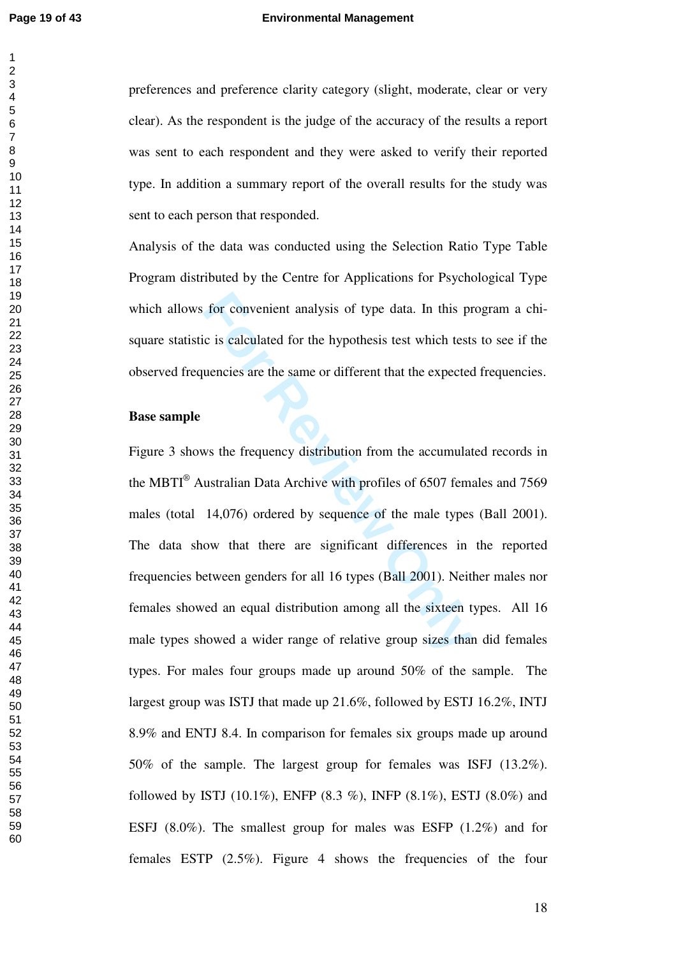$\mathbf{1}$  $\overline{2}$  $\overline{4}$  $\overline{7}$ 

#### **Page 19 of 43 Environmental Management**

preferences and preference clarity category (slight, moderate, clear or very clear). As the respondent is the judge of the accuracy of the results a report was sent to each respondent and they were asked to verify their reported type. In addition a summary report of the overall results for the study was sent to each person that responded.

Analysis of the data was conducted using the Selection Ratio Type Table Program distributed by the Centre for Applications for Psychological Type which allows for convenient analysis of type data. In this program a chisquare statistic is calculated for the hypothesis test which tests to see if the observed frequencies are the same or different that the expected frequencies.

# **Base sample**

for convenient analysis of type data. In this pr<br>is calculated for the hypothesis test which tests<br>uencies are the same or different that the expected<br>west the same or different that the expected<br>ws the frequency distribut Figure 3 shows the frequency distribution from the accumulated records in the MBTI ® Australian Data Archive with profiles of 6507 females and 7569 males (total 14,076) ordered by sequence of the male types (Ball 2001). The data show that there are significant differences in the reported frequencies between genders for all 16 types (Ball 2001). Neither males nor females showed an equal distribution among all the sixteen types. All 16 male types showed a wider range of relative group sizes than did females types. For males four groups made up around 50% of the sample. The largest group was ISTJ that made up 21.6%, followed by ESTJ 16.2%, INTJ 8.9% and ENTJ 8.4. In comparison for females six groups made up around 50% of the sample. The largest group for females was ISFJ (13.2%). followed by ISTJ (10.1%), ENFP (8.3 %), INFP (8.1%), ESTJ (8.0%) and ESFJ (8.0%). The smallest group for males was ESFP (1.2%) and for females ESTP (2.5%). Figure 4 shows the frequencies of the four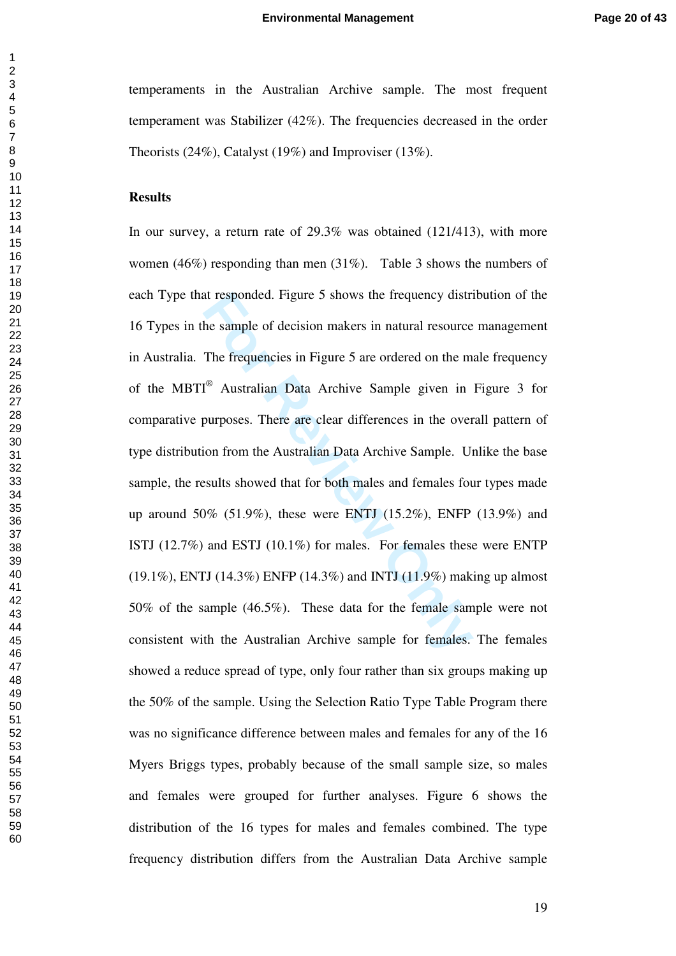temperaments in the Australian Archive sample. The most frequent temperament was Stabilizer (42%). The frequencies decreased in the order Theorists (24%), Catalyst (19%) and Improviser (13%).

# **Results**

at responded. Figure 5 shows the frequency distri-<br>he sample of decision makers in natural resource<br>The frequencies in Figure 5 are ordered on the m-<br>n<sup>®</sup> Australian Data Archive Sample given in<br>purposes. There are clear d In our survey, a return rate of 29.3% was obtained (121/413), with more women (46%) responding than men (31%). Table 3 shows the numbers of each Type that responded. Figure 5 shows the frequency distribution of the 16 Types in the sample of decision makers in natural resource management in Australia. The frequencies in Figure 5 are ordered on the male frequency of the MBTI ® Australian Data Archive Sample given in Figure 3 for comparative purposes. There are clear differences in the overall pattern of type distribution from the Australian Data Archive Sample. Unlike the base sample, the results showed that for both males and females four types made up around  $50\%$  (51.9%), these were ENTJ (15.2%), ENFP (13.9%) and ISTJ (12.7%) and ESTJ (10.1%) for males. For females these were ENTP (19.1%), ENTJ (14.3%) ENFP (14.3%) and INTJ (11.9%) making up almost 50% of the sample (46.5%). These data for the female sample were not consistent with the Australian Archive sample for females. The females showed a reduce spread of type, only four rather than six groups making up the 50% of the sample. Using the Selection Ratio Type Table Program there was no significance difference between males and females for any of the 16 Myers Briggs types, probably because of the small sample size, so males and females were grouped for further analyses. Figure 6 shows the distribution of the 16 types for males and females combined. The type frequency distribution differs from the Australian Data Archive sample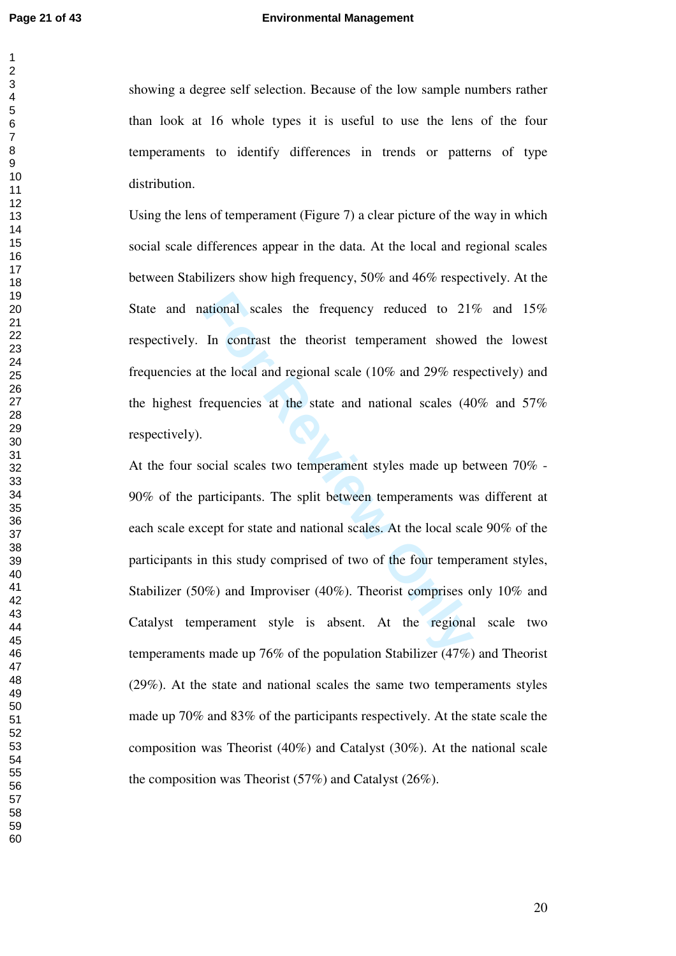$\overline{1}$  $\overline{2}$ 

# **Page 21 of 43 Environmental Management**

showing a degree self selection. Because of the low sample numbers rather than look at 16 whole types it is useful to use the lens of the four temperaments to identify differences in trends or patterns of type distribution.

Using the lens of temperament (Figure 7) a clear picture of the way in which social scale differences appear in the data. At the local and regional scales between Stabilizers show high frequency, 50% and 46% respectively. At the State and national scales the frequency reduced to 21% and 15% respectively. In contrast the theorist temperament showed the lowest frequencies at the local and regional scale (10% and 29% respectively) and the highest frequencies at the state and national scales (40% and 57% respectively).

ational scales the frequency reduced to 21<sup>4</sup><br>In contrast the theorist temperament showed<br>the local and regional scale (10% and 29% resp<br>requencies at the state and national scales (40<br>ocial scales two temperament styles m At the four social scales two temperament styles made up between 70% - 90% of the participants. The split between temperaments was different at each scale except for state and national scales. At the local scale 90% of the participants in this study comprised of two of the four temperament styles, Stabilizer (50%) and Improviser (40%). Theorist comprises only 10% and Catalyst temperament style is absent. At the regional scale two temperaments made up 76% of the population Stabilizer (47%) and Theorist (29%). At the state and national scales the same two temperaments styles made up 70% and 83% of the participants respectively. At the state scale the composition was Theorist (40%) and Catalyst (30%). At the national scale the composition was Theorist (57%) and Catalyst (26%).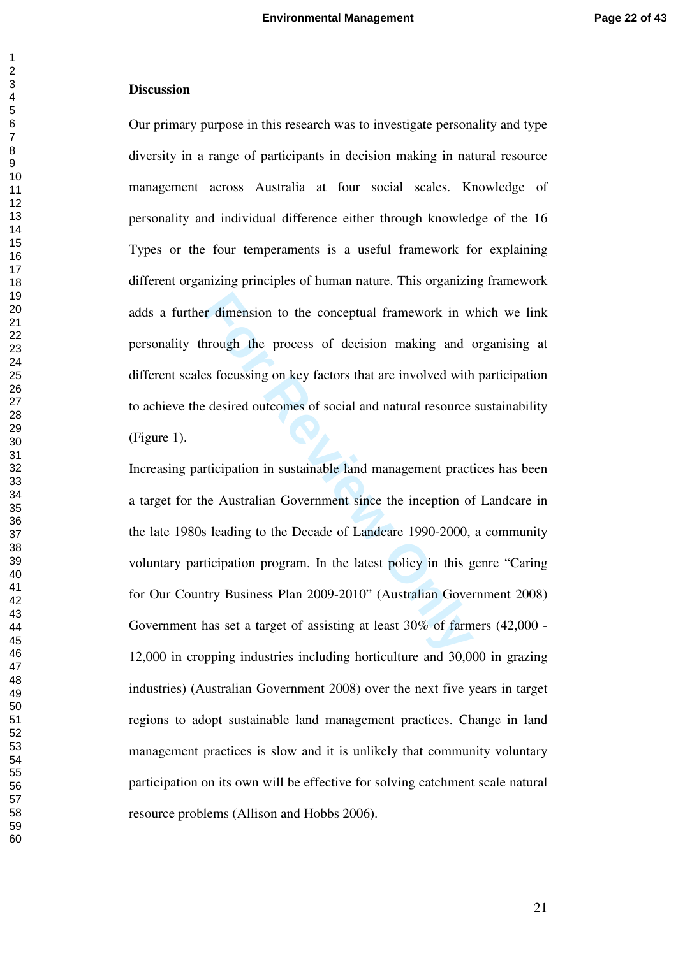#### **Discussion**

Our primary purpose in this research was to investigate personality and type diversity in a range of participants in decision making in natural resource management across Australia at four social scales. Knowledge of personality and individual difference either through knowledge of the 16 Types or the four temperaments is a useful framework for explaining different organizing principles of human nature. This organizing framework adds a further dimension to the conceptual framework in which we link personality through the process of decision making and organising at different scales focussing on key factors that are involved with participation to achieve the desired outcomes of social and natural resource sustainability (Figure 1).

For dimension to the conceptual framework in w<br>through the process of decision making and  $\alpha$ <br>es focussing on key factors that are involved with<br>elesired outcomes of social and natural resource<br>rticipation in sustainable Increasing participation in sustainable land management practices has been a target for the Australian Government since the inception of Landcare in the late 1980s leading to the Decade of Landcare 1990-2000, a community voluntary participation program. In the latest policy in this genre "Caring for Our Country Business Plan 2009-2010" (Australian Government 2008) Government has set a target of assisting at least 30% of farmers (42,000 - 12,000 in cropping industries including horticulture and 30,000 in grazing industries) (Australian Government 2008) over the next five years in target regions to adopt sustainable land management practices. Change in land management practices is slow and it is unlikely that community voluntary participation on its own will be effective for solving catchment scale natural resource problems (Allison and Hobbs 2006).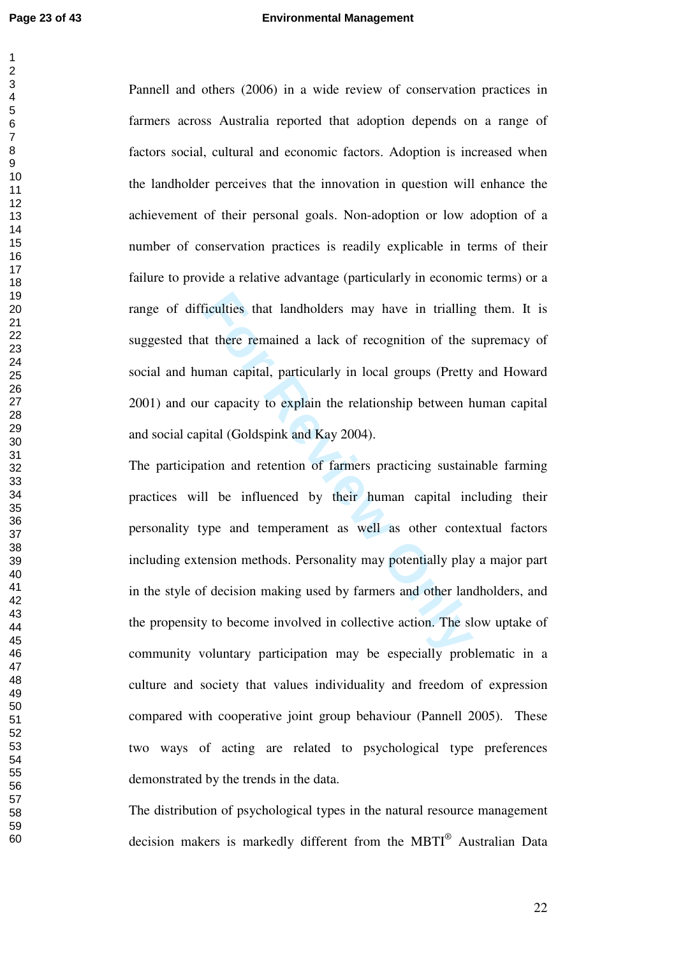$\overline{1}$  $\overline{2}$  $\overline{4}$  $\overline{7}$ 

# **Page 23 of 43 Environmental Management**

Pannell and others (2006) in a wide review of conservation practices in farmers across Australia reported that adoption depends on a range of factors social, cultural and economic factors. Adoption is increased when the landholder perceives that the innovation in question will enhance the achievement of their personal goals. Non-adoption or low adoption of a number of conservation practices is readily explicable in terms of their failure to provide a relative advantage (particularly in economic terms) or a range of difficulties that landholders may have in trialling them. It is suggested that there remained a lack of recognition of the supremacy of social and human capital, particularly in local groups (Pretty and Howard 2001) and our capacity to explain the relationship between human capital and social capital (Goldspink and Kay 2004).

Ficulties that landholders may have in trialling<br>the there remained a lack of recognition of the s<br>man capital, particularly in local groups (Pretty<br>r capacity to explain the relationship between h<br>bital (Goldspink and Kay The participation and retention of farmers practicing sustainable farming practices will be influenced by their human capital including their personality type and temperament as well as other contextual factors including extension methods. Personality may potentially play a major part in the style of decision making used by farmers and other landholders, and the propensity to become involved in collective action. The slow uptake of community voluntary participation may be especially problematic in a culture and society that values individuality and freedom of expression compared with cooperative joint group behaviour (Pannell 2005). These two ways of acting are related to psychological type preferences demonstrated by the trends in the data.

The distribution of psychological types in the natural resource management decision makers is markedly different from the MBTI® Australian Data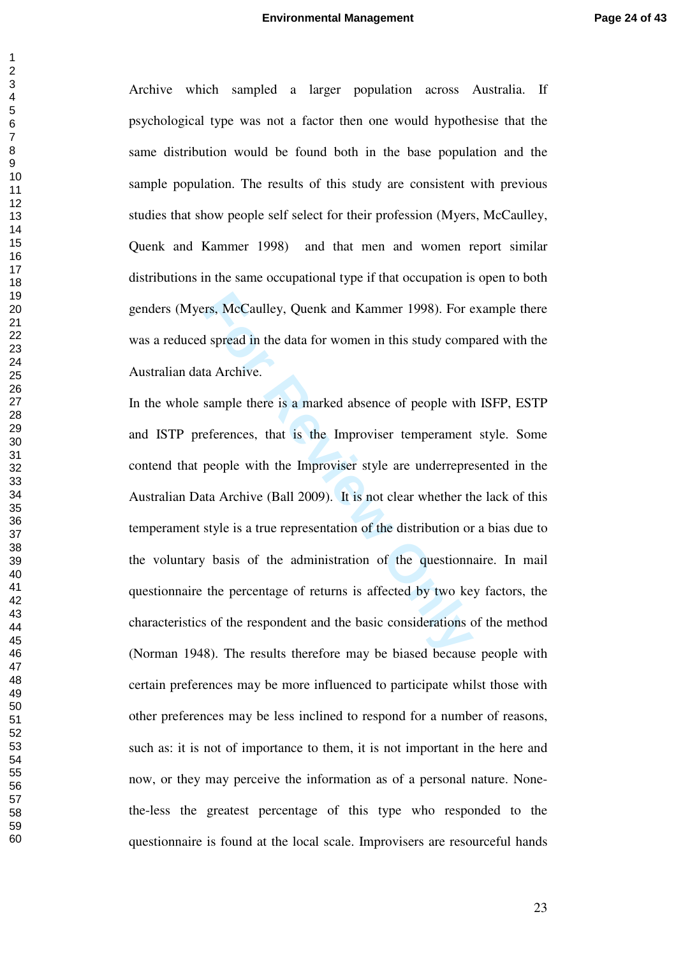Archive which sampled a larger population across Australia. If psychological type was not a factor then one would hypothesise that the same distribution would be found both in the base population and the sample population. The results of this study are consistent with previous studies that show people self select for their profession (Myers, McCaulley, Quenk and Kammer 1998) and that men and women report similar distributions in the same occupational type if that occupation is open to both genders (Myers, McCaulley, Quenk and Kammer 1998). For example there was a reduced spread in the data for women in this study compared with the Australian data Archive.

For McCaulley, Quenk and Kammer 1998). For example in the data for women in this study compta Archive.<br> **Sample there is a marked absence of people with eferences, that is the Improviser temperament people with the Improvi** In the whole sample there is a marked absence of people with ISFP, ESTP and ISTP preferences, that is the Improviser temperament style. Some contend that people with the Improviser style are underrepresented in the Australian Data Archive (Ball 2009). It is not clear whether the lack of this temperament style is a true representation of the distribution or a bias due to the voluntary basis of the administration of the questionnaire. In mail questionnaire the percentage of returns is affected by two key factors, the characteristics of the respondent and the basic considerations of the method (Norman 1948). The results therefore may be biased because people with certain preferences may be more influenced to participate whilst those with other preferences may be less inclined to respond for a number of reasons, such as: it is not of importance to them, it is not important in the here and now, or they may perceive the information as of a personal nature. Nonethe-less the greatest percentage of this type who responded to the questionnaire is found at the local scale. Improvisers are resourceful hands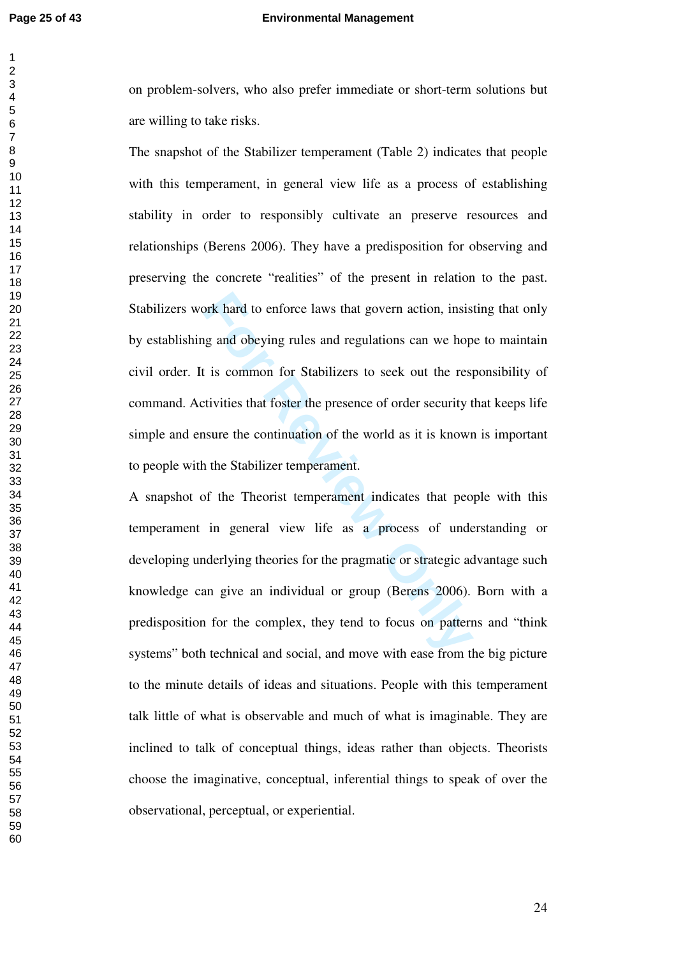# **Page 25 of 43 Environmental Management**

on problem-solvers, who also prefer immediate or short-term solutions but are willing to take risks.

book hard to enforce laws that govern action, insisting and obeying rules and regulations can we hop t is common for Stabilizers to seek out the respectivities that foster the presence of order security the sum the continu The snapshot of the Stabilizer temperament (Table 2) indicates that people with this temperament, in general view life as a process of establishing stability in order to responsibly cultivate an preserve resources and relationships (Berens 2006). They have a predisposition for observing and preserving the concrete "realities" of the present in relation to the past. Stabilizers work hard to enforce laws that govern action, insisting that only by establishing and obeying rules and regulations can we hope to maintain civil order. It is common for Stabilizers to seek out the responsibility of command. Activities that foster the presence of order security that keeps life simple and ensure the continuation of the world as it is known is important to people with the Stabilizer temperament.

A snapshot of the Theorist temperament indicates that people with this temperament in general view life as a process of understanding or developing underlying theories for the pragmatic or strategic advantage such knowledge can give an individual or group (Berens 2006). Born with a predisposition for the complex, they tend to focus on patterns and "think systems" both technical and social, and move with ease from the big picture to the minute details of ideas and situations. People with this temperament talk little of what is observable and much of what is imaginable. They are inclined to talk of conceptual things, ideas rather than objects. Theorists choose the imaginative, conceptual, inferential things to speak of over the observational, perceptual, or experiential.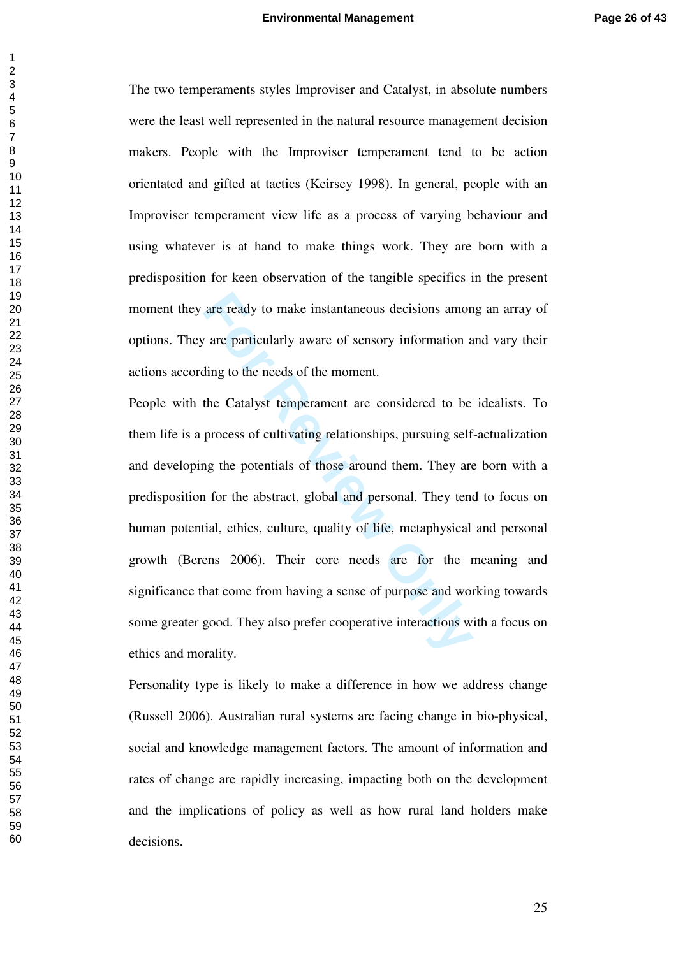The two temperaments styles Improviser and Catalyst, in absolute numbers were the least well represented in the natural resource management decision makers. People with the Improviser temperament tend to be action orientated and gifted at tactics (Keirsey 1998). In general, people with an Improviser temperament view life as a process of varying behaviour and using whatever is at hand to make things work. They are born with a predisposition for keen observation of the tangible specifics in the present moment they are ready to make instantaneous decisions among an array of options. They are particularly aware of sensory information and vary their actions according to the needs of the moment.

are ready to make instantaneous decisions amond a are ready to make instantaneous decisions amometion a ding to the needs of the moment.<br>
the Catalyst temperament are considered to be process of cultivating relationships, People with the Catalyst temperament are considered to be idealists. To them life is a process of cultivating relationships, pursuing self-actualization and developing the potentials of those around them. They are born with a predisposition for the abstract, global and personal. They tend to focus on human potential, ethics, culture, quality of life, metaphysical and personal growth (Berens 2006). Their core needs are for the meaning and significance that come from having a sense of purpose and working towards some greater good. They also prefer cooperative interactions with a focus on ethics and morality.

Personality type is likely to make a difference in how we address change (Russell 2006). Australian rural systems are facing change in bio-physical, social and knowledge management factors. The amount of information and rates of change are rapidly increasing, impacting both on the development and the implications of policy as well as how rural land holders make decisions.

 $\overline{1}$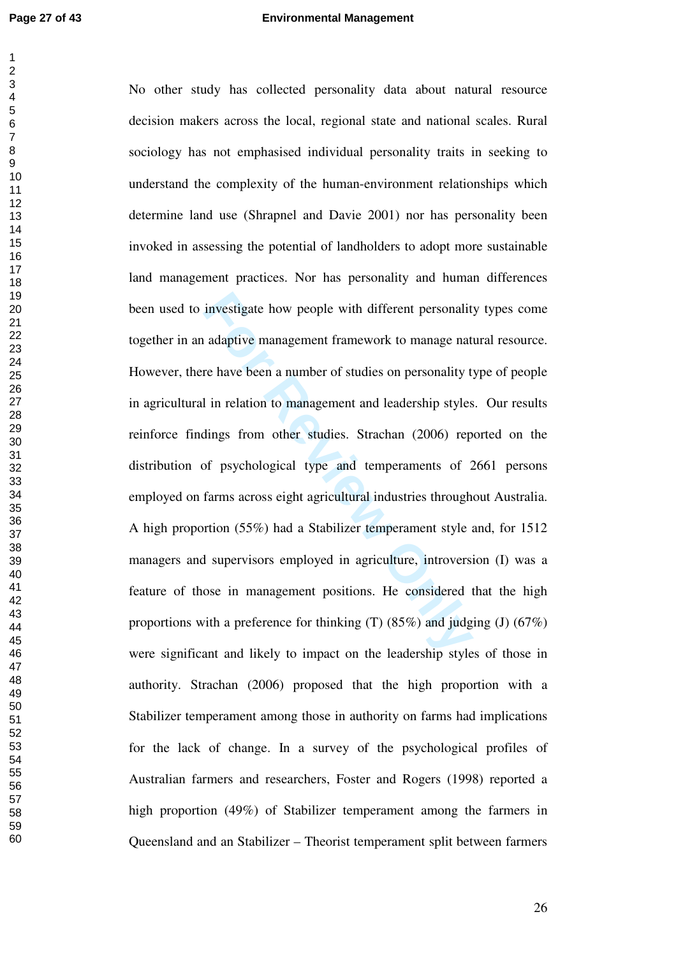# **Page 27 of 43 Environmental Management**

investigate how people with different personality<br>adaptive management framework to manage nat<br>re have been a number of studies on personality t<sub>1</sub><br>I in relation to management and leadership styles<br>dings from other studies. No other study has collected personality data about natural resource decision makers across the local, regional state and national scales. Rural sociology has not emphasised individual personality traits in seeking to understand the complexity of the human-environment relationships which determine land use (Shrapnel and Davie 2001) nor has personality been invoked in assessing the potential of landholders to adopt more sustainable land management practices. Nor has personality and human differences been used to investigate how people with different personality types come together in an adaptive management framework to manage natural resource. However, there have been a number of studies on personality type of people in agricultural in relation to management and leadership styles. Our results reinforce findings from other studies. Strachan (2006) reported on the distribution of psychological type and temperaments of 2661 persons employed on farms across eight agricultural industries throughout Australia. A high proportion (55%) had a Stabilizer temperament style and, for 1512 managers and supervisors employed in agriculture, introversion (I) was a feature of those in management positions. He considered that the high proportions with a preference for thinking  $(T)$  (85%) and judging (J) (67%) were significant and likely to impact on the leadership styles of those in authority. Strachan (2006) proposed that the high proportion with a Stabilizer temperament among those in authority on farms had implications for the lack of change. In a survey of the psychological profiles of Australian farmers and researchers, Foster and Rogers (1998) reported a high proportion (49%) of Stabilizer temperament among the farmers in Queensland and an Stabilizer – Theorist temperament split between farmers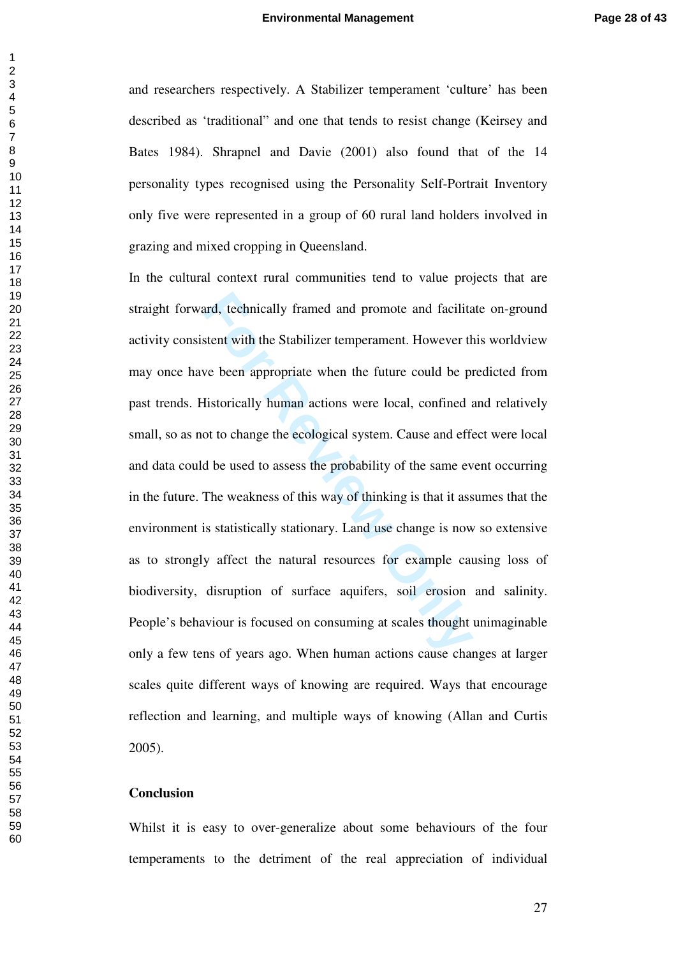and researchers respectively. A Stabilizer temperament 'culture' has been described as 'traditional" and one that tends to resist change (Keirsey and Bates 1984). Shrapnel and Davie (2001) also found that of the 14 personality types recognised using the Personality Self-Portrait Inventory only five were represented in a group of 60 rural land holders involved in grazing and mixed cropping in Queensland.

ard, technically framed and promote and facilita<br>stent with the Stabilizer temperament. However the<br>ve been appropriate when the future could be pl<br>istorically human actions were local, confined a<br>of to change the ecologic In the cultural context rural communities tend to value projects that are straight forward, technically framed and promote and facilitate on-ground activity consistent with the Stabilizer temperament. However this worldview may once have been appropriate when the future could be predicted from past trends. Historically human actions were local, confined and relatively small, so as not to change the ecological system. Cause and effect were local and data could be used to assess the probability of the same event occurring in the future. The weakness of this way of thinking is that it assumes that the environment is statistically stationary. Land use change is now so extensive as to strongly affect the natural resources for example causing loss of biodiversity, disruption of surface aquifers, soil erosion and salinity. People's behaviour is focused on consuming at scales thought unimaginable only a few tens of years ago. When human actions cause changes at larger scales quite different ways of knowing are required. Ways that encourage reflection and learning, and multiple ways of knowing (Allan and Curtis 2005).

#### **Conclusion**

Whilst it is easy to over-generalize about some behaviours of the four temperaments to the detriment of the real appreciation of individual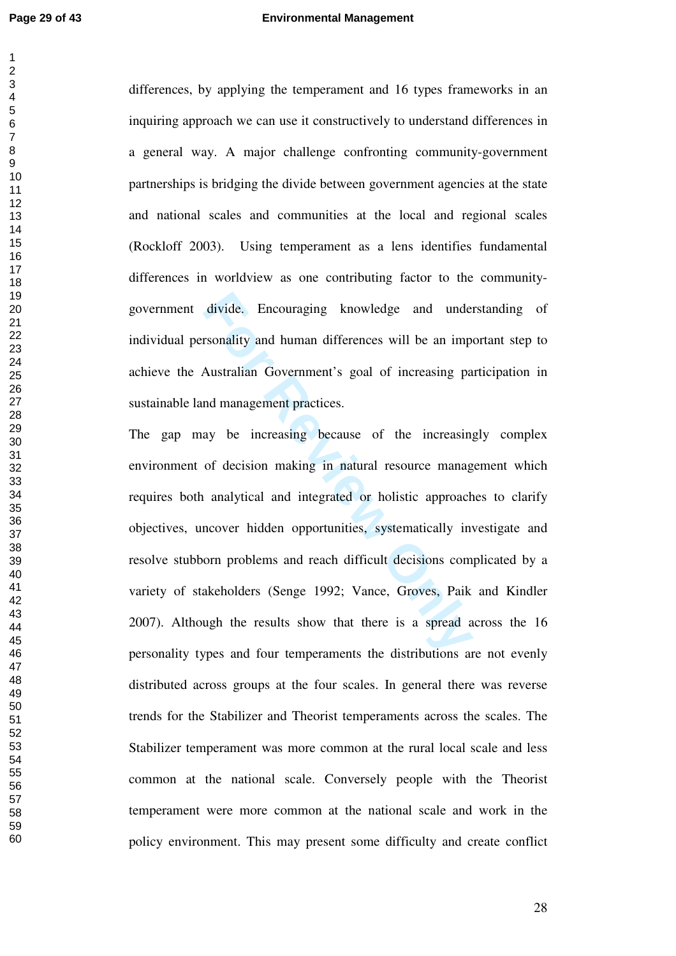# **Page 29 of 43 Environmental Management**

differences, by applying the temperament and 16 types frameworks in an inquiring approach we can use it constructively to understand differences in a general way. A major challenge confronting community-government partnerships is bridging the divide between government agencies at the state and national scales and communities at the local and regional scales (Rockloff 2003). Using temperament as a lens identifies fundamental differences in worldview as one contributing factor to the communitygovernment divide. Encouraging knowledge and understanding of individual personality and human differences will be an important step to achieve the Australian Government's goal of increasing participation in sustainable land management practices.

divide. Encouraging knowledge and under<br>rsonality and human differences will be an imper-<br>Australian Government's goal of increasing pa<br>nd management practices.<br>ay be increasing because of the increasing<br>of decision making The gap may be increasing because of the increasingly complex environment of decision making in natural resource management which requires both analytical and integrated or holistic approaches to clarify objectives, uncover hidden opportunities, systematically investigate and resolve stubborn problems and reach difficult decisions complicated by a variety of stakeholders (Senge 1992; Vance, Groves, Paik and Kindler 2007). Although the results show that there is a spread across the 16 personality types and four temperaments the distributions are not evenly distributed across groups at the four scales. In general there was reverse trends for the Stabilizer and Theorist temperaments across the scales. The Stabilizer temperament was more common at the rural local scale and less common at the national scale. Conversely people with the Theorist temperament were more common at the national scale and work in the policy environment. This may present some difficulty and create conflict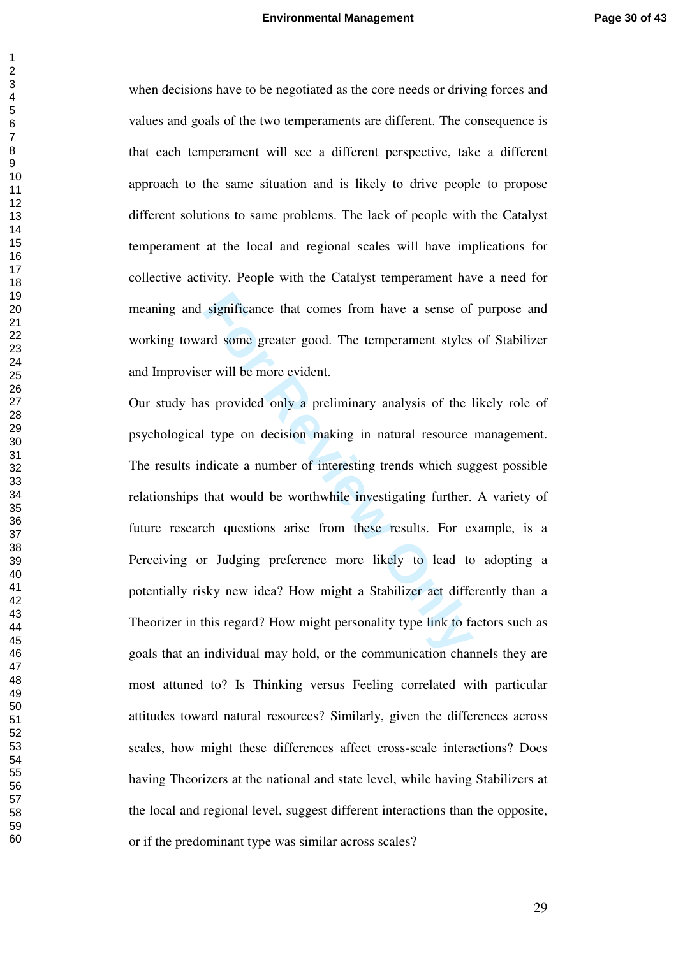when decisions have to be negotiated as the core needs or driving forces and values and goals of the two temperaments are different. The consequence is that each temperament will see a different perspective, take a different approach to the same situation and is likely to drive people to propose different solutions to same problems. The lack of people with the Catalyst temperament at the local and regional scales will have implications for collective activity. People with the Catalyst temperament have a need for meaning and significance that comes from have a sense of purpose and working toward some greater good. The temperament styles of Stabilizer and Improviser will be more evident.

significance that comes from have a sense of<br>ard some greater good. The temperament styles<br>er will be more evident.<br>In type on decision making in natural resource<br>dicate a number of interesting trends which sug<br>that would Our study has provided only a preliminary analysis of the likely role of psychological type on decision making in natural resource management. The results indicate a number of interesting trends which suggest possible relationships that would be worthwhile investigating further. A variety of future research questions arise from these results. For example, is a Perceiving or Judging preference more likely to lead to adopting a potentially risky new idea? How might a Stabilizer act differently than a Theorizer in this regard? How might personality type link to factors such as goals that an individual may hold, or the communication channels they are most attuned to? Is Thinking versus Feeling correlated with particular attitudes toward natural resources? Similarly, given the differences across scales, how might these differences affect cross-scale interactions? Does having Theorizers at the national and state level, while having Stabilizers at the local and regional level, suggest different interactions than the opposite, or if the predominant type was similar across scales?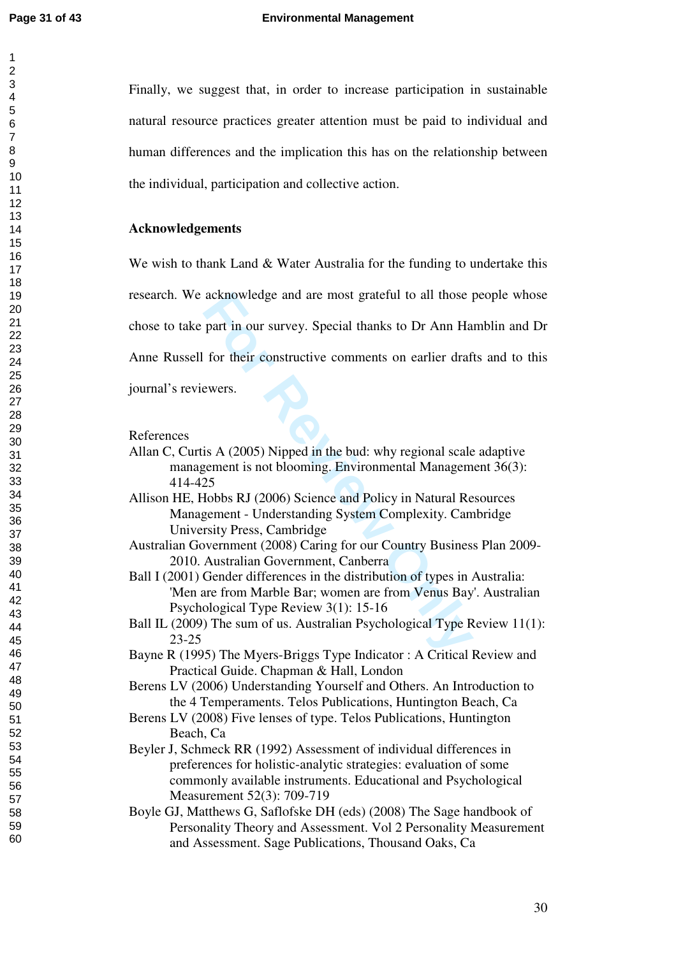123456789

 $\overline{1}$  $\overline{2}$  $\overline{3}$  $\overline{4}$ 5 6  $\overline{7}$ 8 9

Finally, we suggest that, in order to increase participation in sustainable natural resource practices greater attention must be paid to individual and human differences and the implication this has on the relationship between the individual, participation and collective action.

# **Acknowledgements**

acknowledge and are most grateful to all those p<br>part in our survey. Special thanks to Dr Ann Ha<br>for their constructive comments on earlier draft<br>ewers.<br>is A (2005) Nipped in the bud: why regional scale<br>gement is not bloom We wish to thank Land & Water Australia for the funding to undertake this research. We acknowledge and are most grateful to all those people whose chose to take part in our survey. Special thanks to Dr Ann Hamblin and Dr Anne Russell for their constructive comments on earlier drafts and to this journal's reviewers.

References

- Allan C, Curtis A (2005) Nipped in the bud: why regional scale adaptive management is not blooming. Environmental Management 36(3): 414-425
- Allison HE, Hobbs RJ (2006) Science and Policy in Natural Resources Management - Understanding System Complexity. Cambridge University Press, Cambridge
- Australian Government (2008) Caring for our Country Business Plan 2009- 2010. Australian Government, Canberra
- Ball I (2001) Gender differences in the distribution of types in Australia: 'Men are from Marble Bar; women are from Venus Bay'. Australian Psychological Type Review 3(1): 15-16
- Ball IL (2009) The sum of us. Australian Psychological Type Review 11(1): 23-25
- Bayne R (1995) The Myers-Briggs Type Indicator : A Critical Review and Practical Guide. Chapman & Hall, London
- Berens LV (2006) Understanding Yourself and Others. An Introduction to the 4 Temperaments. Telos Publications, Huntington Beach, Ca
- Berens LV (2008) Five lenses of type. Telos Publications, Huntington Beach, Ca
- Beyler J, Schmeck RR (1992) Assessment of individual differences in preferences for holistic-analytic strategies: evaluation of some commonly available instruments. Educational and Psychological Measurement 52(3): 709-719
- Boyle GJ, Matthews G, Saflofske DH (eds) (2008) The Sage handbook of Personality Theory and Assessment. Vol 2 Personality Measurement and Assessment. Sage Publications, Thousand Oaks, Ca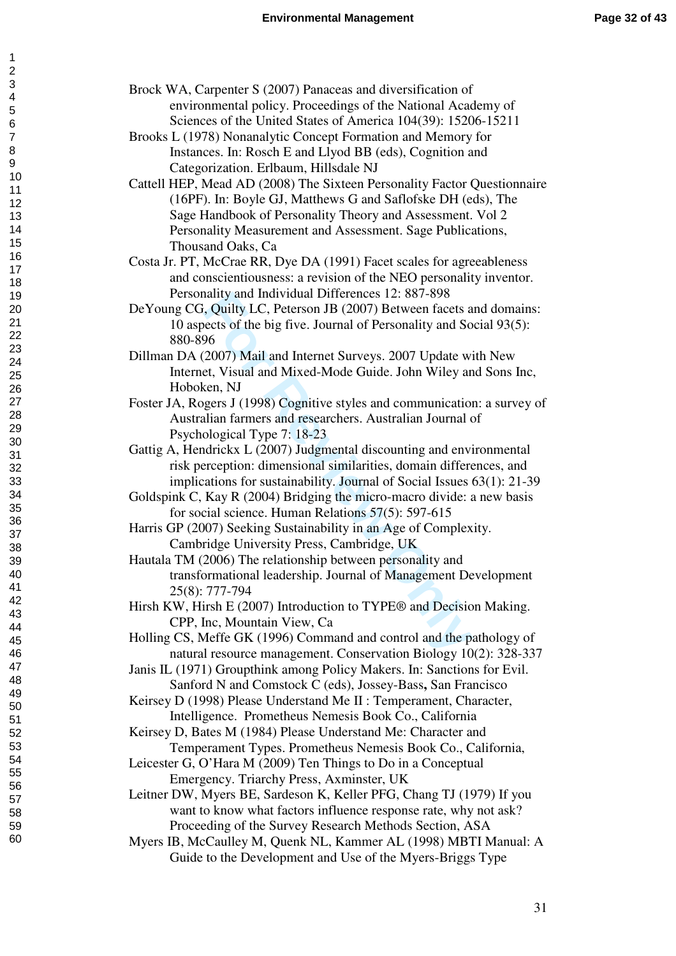- Brock WA, Carpenter S (2007) Panaceas and diversification of environmental policy. Proceedings of the National Academy of Sciences of the United States of America 104(39): 15206-15211
- Brooks L (1978) Nonanalytic Concept Formation and Memory for Instances. In: Rosch E and Llyod BB (eds), Cognition and Categorization. Erlbaum, Hillsdale NJ
- Cattell HEP, Mead AD (2008) The Sixteen Personality Factor Questionnaire (16PF). In: Boyle GJ, Matthews G and Saflofske DH (eds), The Sage Handbook of Personality Theory and Assessment. Vol 2 Personality Measurement and Assessment. Sage Publications, Thousand Oaks, Ca
- Costa Jr. PT, McCrae RR, Dye DA (1991) Facet scales for agreeableness and conscientiousness: a revision of the NEO personality inventor. Personality and Individual Differences 12: 887-898
- DeYoung CG, Quilty LC, Peterson JB (2007) Between facets and domains: 10 aspects of the big five. Journal of Personality and Social 93(5): 880-896
- Dillman DA (2007) Mail and Internet Surveys. 2007 Update with New Internet, Visual and Mixed-Mode Guide. John Wiley and Sons Inc, Hoboken, NJ
- Foster JA, Rogers J (1998) Cognitive styles and communication: a survey of Australian farmers and researchers. Australian Journal of Psychological Type 7: 18-23
- nality and Individual Differences 12: 887-898<br> **For Review Concept CONT CONT SET ASS**<br> **For Review Example 12:** 887-898<br> **For Review Control of Personality and So**<br> **For Review Only Different Surveys.** 2007 Update with<br> **F** Gattig A, Hendrickx L (2007) Judgmental discounting and environmental risk perception: dimensional similarities, domain differences, and implications for sustainability. Journal of Social Issues 63(1): 21-39
- Goldspink C, Kay R (2004) Bridging the micro-macro divide: a new basis for social science. Human Relations 57(5): 597-615
- Harris GP (2007) Seeking Sustainability in an Age of Complexity. Cambridge University Press, Cambridge, UK
- Hautala TM (2006) The relationship between personality and transformational leadership. Journal of Management Development 25(8): 777-794
- Hirsh KW, Hirsh E (2007) Introduction to TYPE® and Decision Making. CPP, Inc, Mountain View, Ca
- Holling CS, Meffe GK (1996) Command and control and the pathology of natural resource management. Conservation Biology 10(2): 328-337
- Janis IL (1971) Groupthink among Policy Makers. In: Sanctions for Evil. Sanford N and Comstock C (eds), Jossey-Bass **,** San Francisco

Keirsey D (1998) Please Understand Me II : Temperament, Character, Intelligence. Prometheus Nemesis Book Co., California

- Keirsey D, Bates M (1984) Please Understand Me: Character and Temperament Types. Prometheus Nemesis Book Co., California,
- Leicester G, O'Hara M (2009) Ten Things to Do in a Conceptual Emergency. Triarchy Press, Axminster, UK
- Leitner DW, Myers BE, Sardeson K, Keller PFG, Chang TJ (1979) If you want to know what factors influence response rate, why not ask? Proceeding of the Survey Research Methods Section, ASA
- Myers IB, McCaulley M, Quenk NL, Kammer AL (1998) MBTI Manual: A Guide to the Development and Use of the Myers-Briggs Type

 $\overline{1}$  $\overline{2}$  $\overline{3}$  $\overline{4}$ 5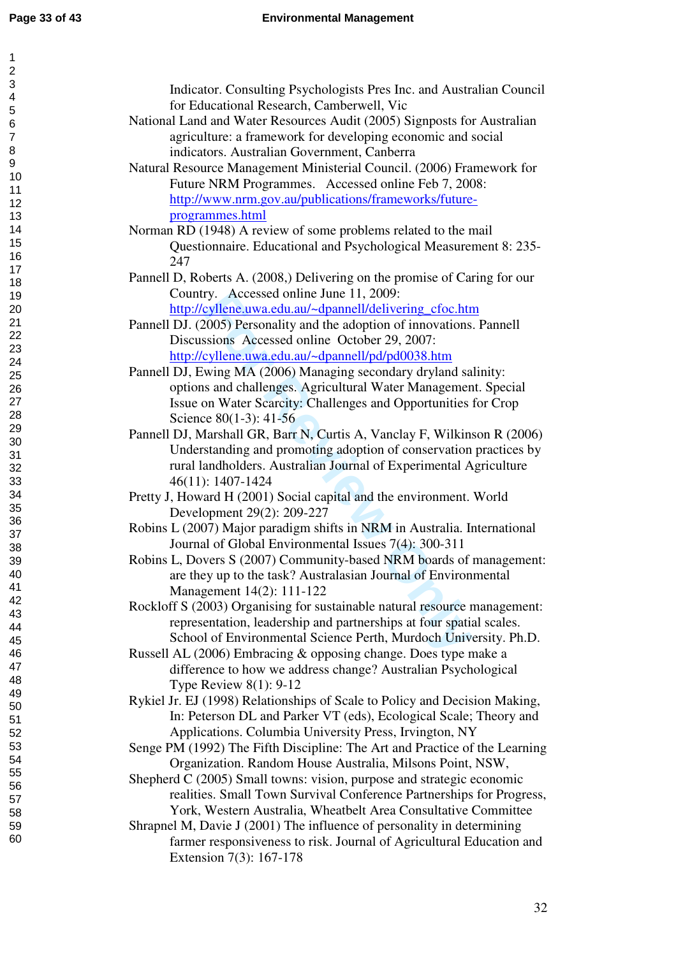123456789

5<br>6<br>7<br>8

 $\overline{1}$  $\frac{2}{3}$  $\overline{4}$ 

 $\boldsymbol{9}$ 

| Indicator. Consulting Psychologists Pres Inc. and Australian Council<br>for Educational Research, Camberwell, Vic                                                                                               |
|-----------------------------------------------------------------------------------------------------------------------------------------------------------------------------------------------------------------|
| National Land and Water Resources Audit (2005) Signposts for Australian<br>agriculture: a framework for developing economic and social                                                                          |
| indicators. Australian Government, Canberra                                                                                                                                                                     |
| Natural Resource Management Ministerial Council. (2006) Framework for<br>Future NRM Programmes. Accessed online Feb 7, 2008:                                                                                    |
| http://www.nrm.gov.au/publications/frameworks/future-                                                                                                                                                           |
| programmes.html                                                                                                                                                                                                 |
| Norman RD (1948) A review of some problems related to the mail                                                                                                                                                  |
| Questionnaire. Educational and Psychological Measurement 8: 235-<br>247                                                                                                                                         |
| Pannell D, Roberts A. (2008,) Delivering on the promise of Caring for our<br>Country. Accessed online June 11, 2009:                                                                                            |
| http://cyllene.uwa.edu.au/~dpannell/delivering_cfoc.htm                                                                                                                                                         |
| Pannell DJ. (2005) Personality and the adoption of innovations. Pannell                                                                                                                                         |
| Discussions Accessed online October 29, 2007:                                                                                                                                                                   |
| http://cyllene.uwa.edu.au/~dpannell/pd/pd0038.htm                                                                                                                                                               |
| Pannell DJ, Ewing MA (2006) Managing secondary dryland salinity:                                                                                                                                                |
| options and challenges. Agricultural Water Management. Special                                                                                                                                                  |
| Issue on Water Scarcity: Challenges and Opportunities for Crop                                                                                                                                                  |
| Science 80(1-3): 41-56                                                                                                                                                                                          |
| Pannell DJ, Marshall GR, Barr N, Curtis A, Vanclay F, Wilkinson R (2006)                                                                                                                                        |
| Understanding and promoting adoption of conservation practices by                                                                                                                                               |
| rural landholders. Australian Journal of Experimental Agriculture<br>46(11): 1407-1424                                                                                                                          |
| Pretty J, Howard H (2001) Social capital and the environment. World                                                                                                                                             |
| Development 29(2): 209-227                                                                                                                                                                                      |
| Robins L (2007) Major paradigm shifts in NRM in Australia. International                                                                                                                                        |
| Journal of Global Environmental Issues 7(4): 300-311                                                                                                                                                            |
| Robins L, Dovers S (2007) Community-based NRM boards of management:                                                                                                                                             |
| are they up to the task? Australasian Journal of Environmental                                                                                                                                                  |
| Management 14(2): 111-122                                                                                                                                                                                       |
|                                                                                                                                                                                                                 |
| Rockloff S (2003) Organising for sustainable natural resource management:                                                                                                                                       |
| representation, leadership and partnerships at four spatial scales.                                                                                                                                             |
| School of Environmental Science Perth, Murdoch University. Ph.D.                                                                                                                                                |
| Russell AL (2006) Embracing & opposing change. Does type make a                                                                                                                                                 |
| difference to how we address change? Australian Psychological                                                                                                                                                   |
| Type Review $8(1)$ : 9-12                                                                                                                                                                                       |
| Rykiel Jr. EJ (1998) Relationships of Scale to Policy and Decision Making,                                                                                                                                      |
| In: Peterson DL and Parker VT (eds), Ecological Scale; Theory and<br>Applications. Columbia University Press, Irvington, NY                                                                                     |
| Senge PM (1992) The Fifth Discipline: The Art and Practice of the Learning<br>Organization. Random House Australia, Milsons Point, NSW,                                                                         |
| Shepherd C (2005) Small towns: vision, purpose and strategic economic<br>realities. Small Town Survival Conference Partnerships for Progress,<br>York, Western Australia, Wheatbelt Area Consultative Committee |
|                                                                                                                                                                                                                 |
| Shrapnel M, Davie J (2001) The influence of personality in determining                                                                                                                                          |
| farmer responsiveness to risk. Journal of Agricultural Education and                                                                                                                                            |
| Extension 7(3): 167-178                                                                                                                                                                                         |
|                                                                                                                                                                                                                 |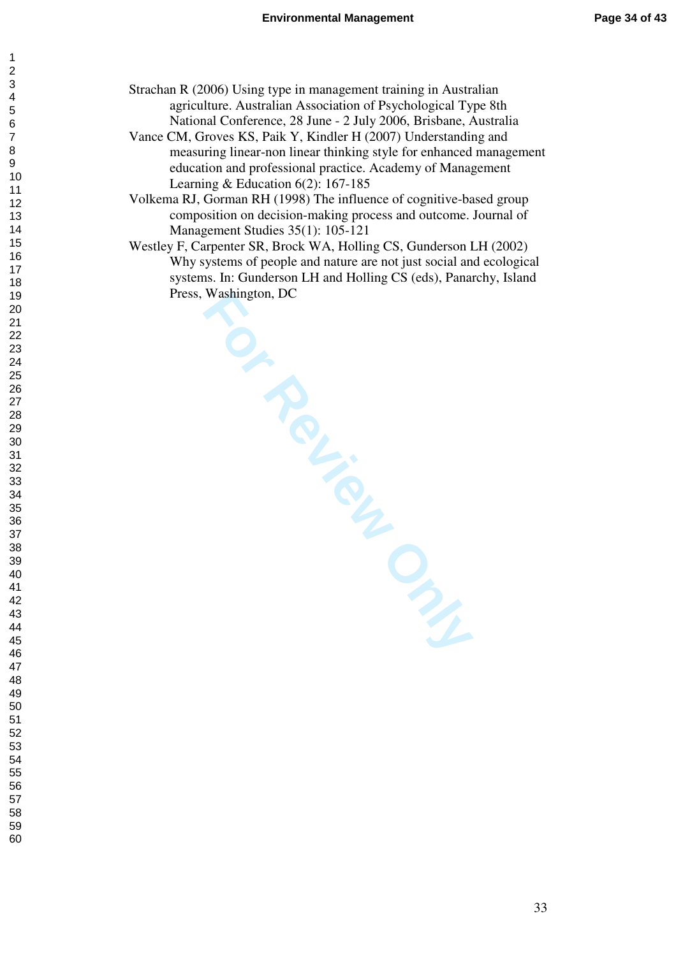- Strachan R (2006) Using type in management training in Australian agriculture. Australian Association of Psychological Type 8th National Conference, 28 June - 2 July 2006, Brisbane, Australia
- Vance CM, Groves KS, Paik Y, Kindler H (2007) Understanding and measuring linear-non linear thinking style for enhanced management education and professional practice. Academy of Management Learning & Education 6(2): 167-185
- Volkema RJ, Gorman RH (1998) The influence of cognitive-based group composition on decision-making process and outcome. Journal of Management Studies 35(1): 105-121
- Westley F, Carpenter SR, Brock WA, Holling CS, Gunderson LH (2002) Why systems of people and nature are not just social and ecological systems. In: Gunderson LH and Holling CS (eds), Panarchy, Island Press, Washington, DC

>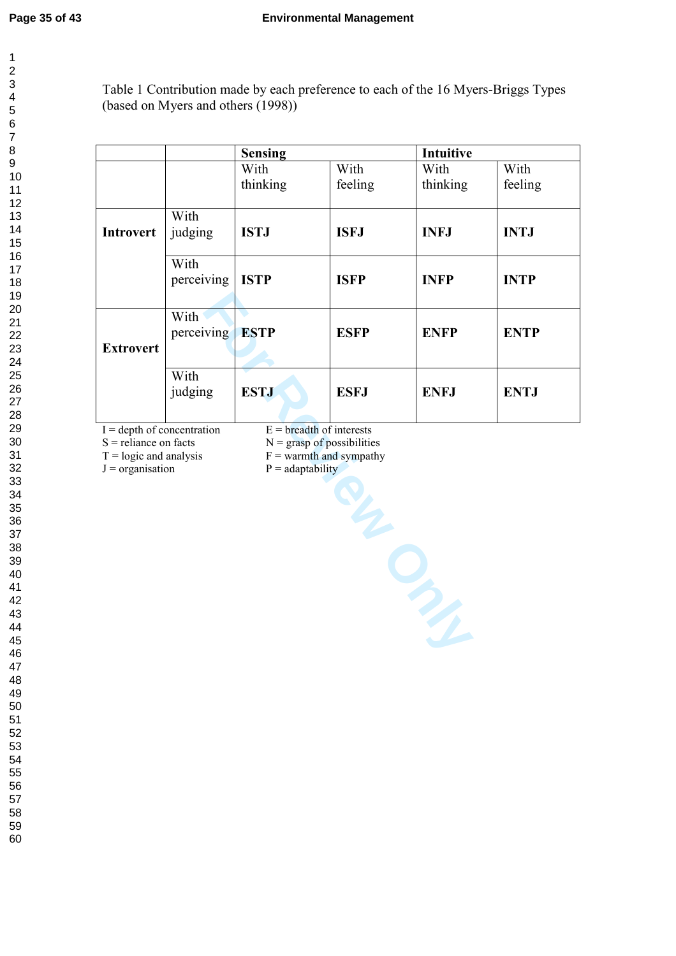$\overline{1}$  $\overline{2}$ 

Table 1 Contribution made by each preference to each of the 16 Myers-Briggs Types (based on Myers and others (1998))

|                              |            | <b>Sensing</b>               |             | Intuitive   |             |  |
|------------------------------|------------|------------------------------|-------------|-------------|-------------|--|
|                              |            | With                         | With        | With        | With        |  |
|                              |            | thinking                     | feeling     | thinking    | feeling     |  |
|                              |            |                              |             |             |             |  |
|                              | With       |                              |             |             |             |  |
| Introvert                    | judging    | <b>ISTJ</b>                  | <b>ISFJ</b> | <b>INFJ</b> | <b>INTJ</b> |  |
|                              | With       |                              |             |             |             |  |
|                              | perceiving | <b>ISTP</b>                  | <b>ISFP</b> | <b>INFP</b> | <b>INTP</b> |  |
|                              |            |                              |             |             |             |  |
|                              | With       |                              |             |             |             |  |
|                              | perceiving | <b>ESTP</b>                  | <b>ESFP</b> | <b>ENFP</b> | <b>ENTP</b> |  |
| <b>Extrovert</b>             |            |                              |             |             |             |  |
|                              | With       |                              |             |             |             |  |
|                              | judging    | <b>ESTJ</b>                  | <b>ESFJ</b> | <b>ENFJ</b> | <b>ENTJ</b> |  |
|                              |            |                              |             |             |             |  |
| $I = depth of concentration$ |            | $E =$ breadth of interests   |             |             |             |  |
| $S =$ reliance on facts      |            | $N =$ grasp of possibilities |             |             |             |  |
| $T = logic$ and analysis     |            | $F =$ warmth and sympathy    |             |             |             |  |
| $J =$ organisation           |            | $P = adaptability$           |             |             |             |  |
|                              |            |                              |             |             |             |  |
|                              |            |                              |             |             |             |  |
|                              |            |                              |             |             |             |  |
|                              |            |                              |             |             |             |  |
|                              |            |                              |             |             |             |  |
|                              |            |                              |             |             |             |  |
| THIS                         |            |                              |             |             |             |  |
|                              |            |                              |             |             |             |  |
|                              |            |                              |             |             |             |  |
|                              |            |                              |             |             |             |  |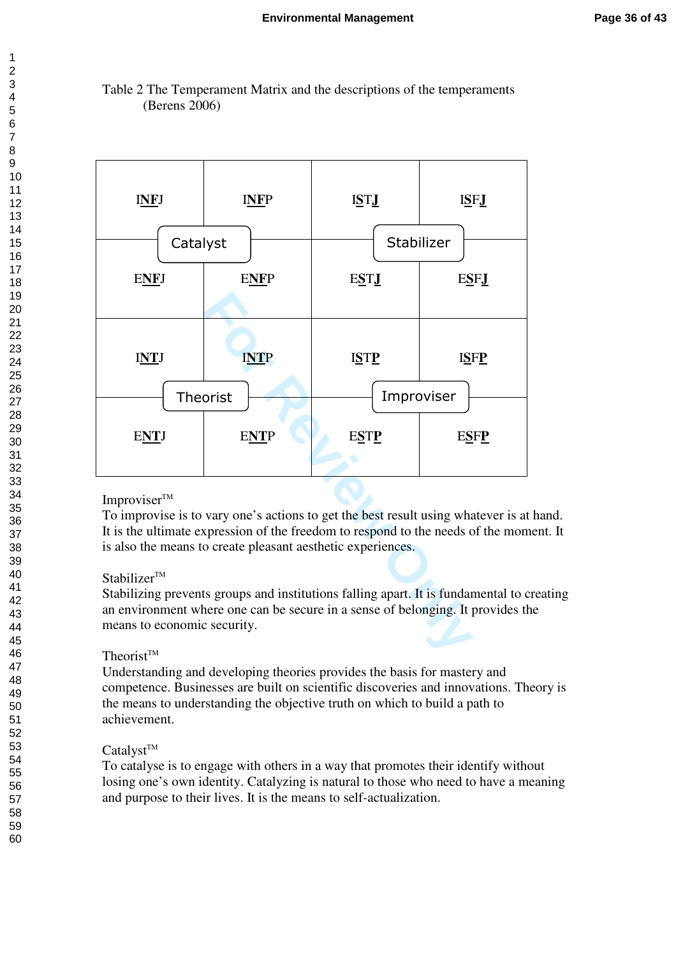# Table 2 The Temperament Matrix and the descriptions of the temperaments



# Improviser $T^M$

To improvise is to vary one's actions to get the best result using whatever is at hand. It is the ultimate expression of the freedom to respond to the needs of the moment. It is also the means to create pleasant aesthetic experiences.

# $Stabilizer^{TM}$

Stabilizing prevents groups and institutions falling apart. It is fundamental to creating an environment where one can be secure in a sense of belonging. It provides the means to economic security.

# Theorist $TM$

Understanding and developing theories provides the basis for mastery and competence. Businesses are built on scientific discoveries and innovations. Theory is the means to understanding the objective truth on which to build a path to achievement.

# $Catalyst^{TM}$

To catalyse is to engage with others in a way that promotes their identify without losing one's own identity. Catalyzing is natural to those who need to have a meaning and purpose to their lives. It is the means to self-actualization.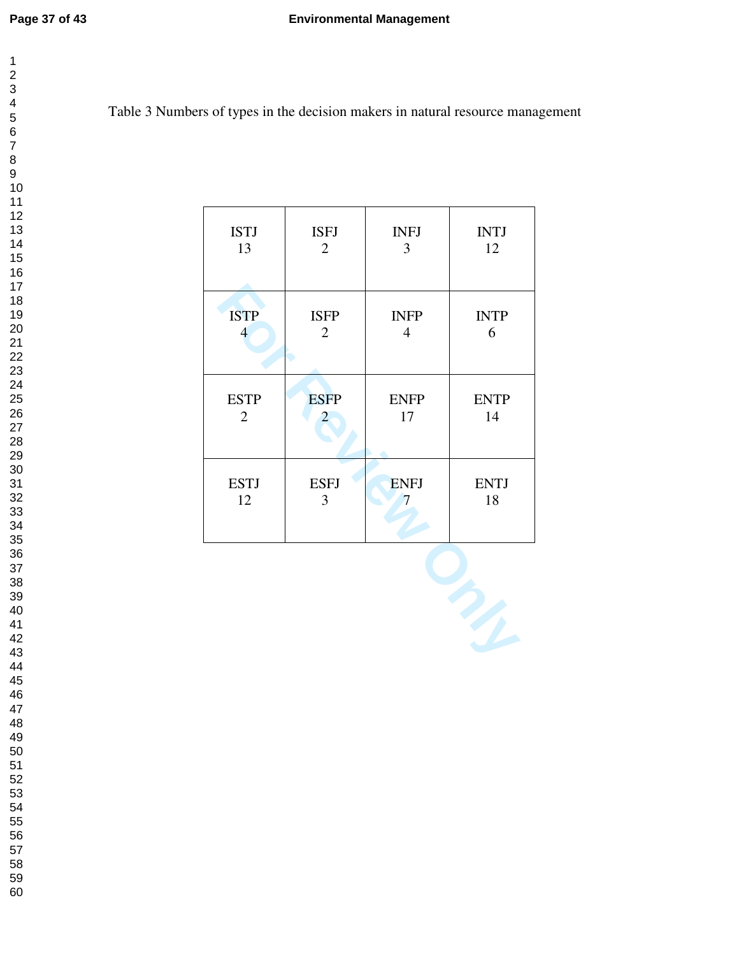Table 3 Numbers of types in the decision makers in natural resource management

| <b>ISTJ</b>    | <b>ISFJ</b>    | <b>INFJ</b>    | <b>INTJ</b> |
|----------------|----------------|----------------|-------------|
| 13             | $\overline{2}$ | 3              | 12          |
| <b>ISTP</b>    | <b>ISFP</b>    | <b>INFP</b>    | <b>INTP</b> |
| 4              | $\overline{2}$ | $\overline{4}$ | 6           |
| <b>ESTP</b>    | <b>ESFP</b>    | <b>ENFP</b>    | <b>ENTP</b> |
| $\overline{2}$ | $\overline{2}$ | 17             | 14          |
| <b>ESTJ</b>    | <b>ESFJ</b>    | <b>ENFJ</b>    | <b>ENTJ</b> |
| 12             | 3              |                | 18          |

**For Review Only**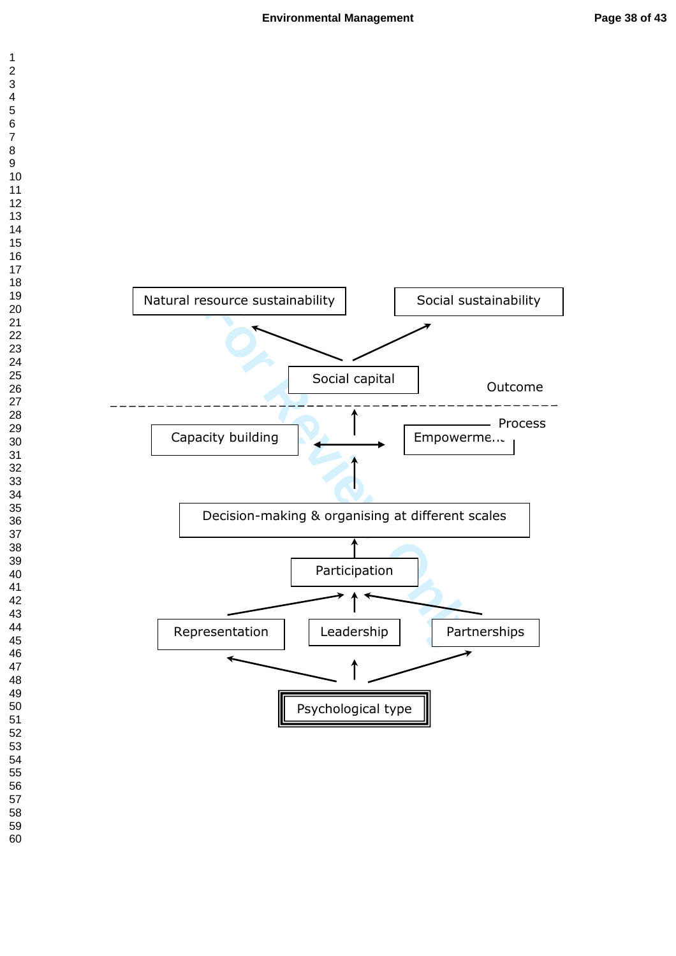

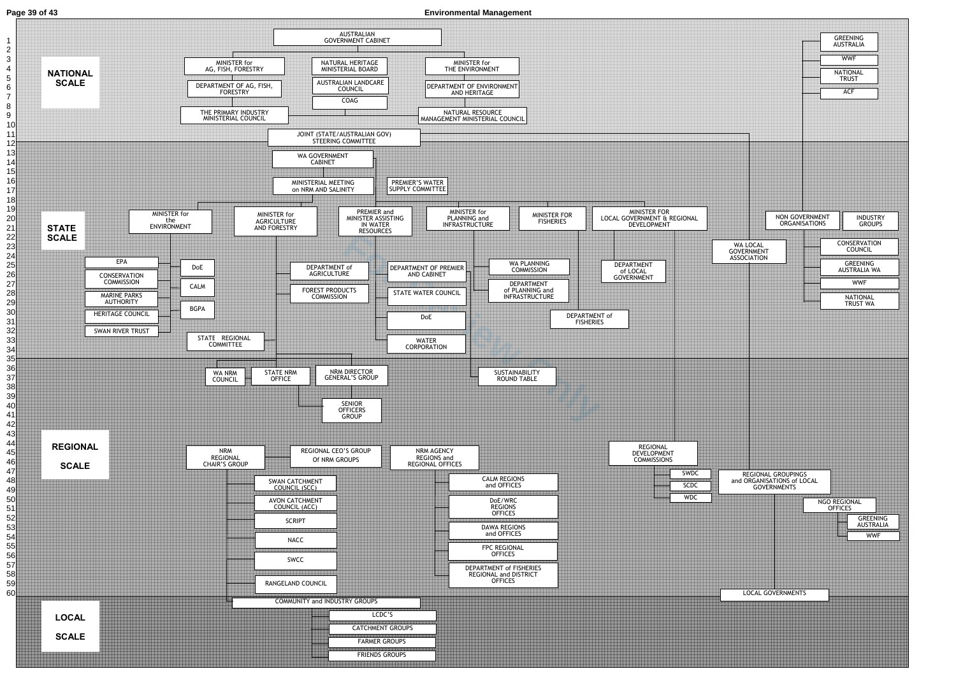

SWDC SCDC**WDC** 



FRIENDS GROUPS

**Page 39 of 43**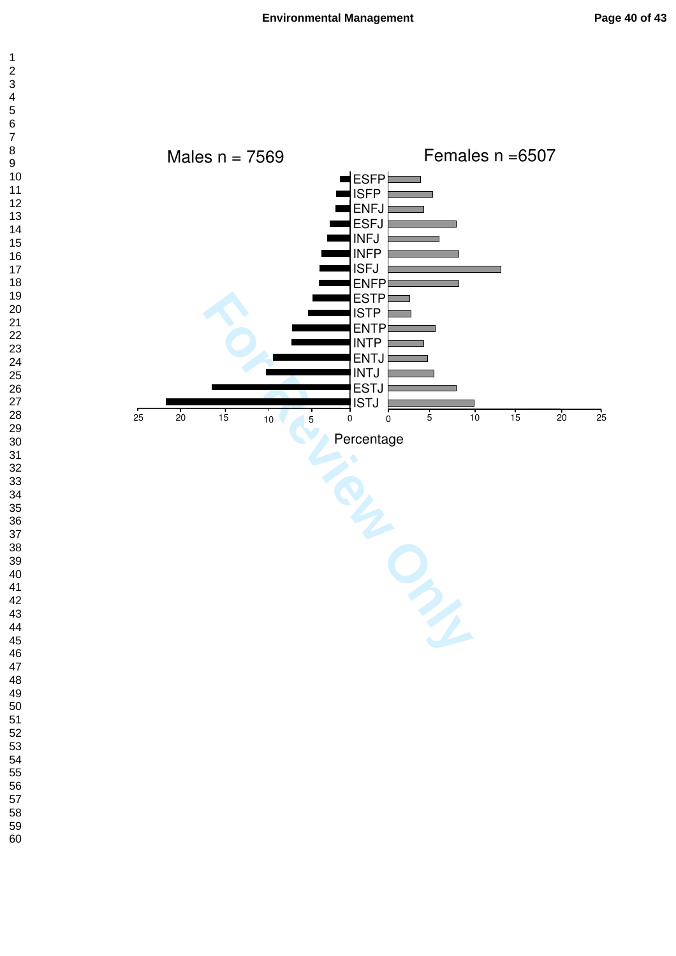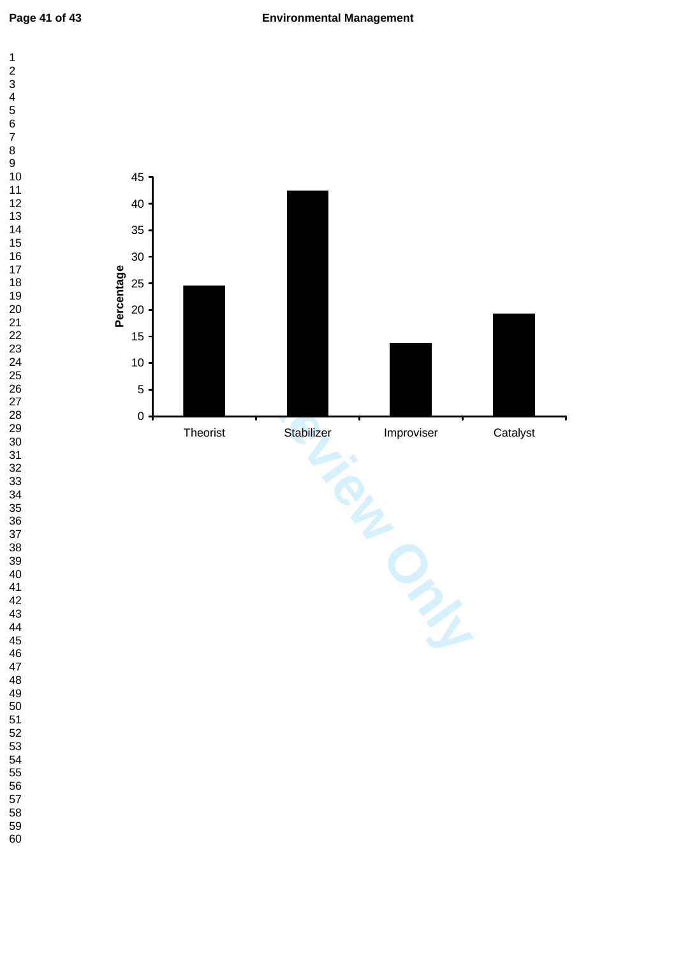$\overline{1}$  $\overline{c}$  $\overline{3}$  $\overline{4}$ 

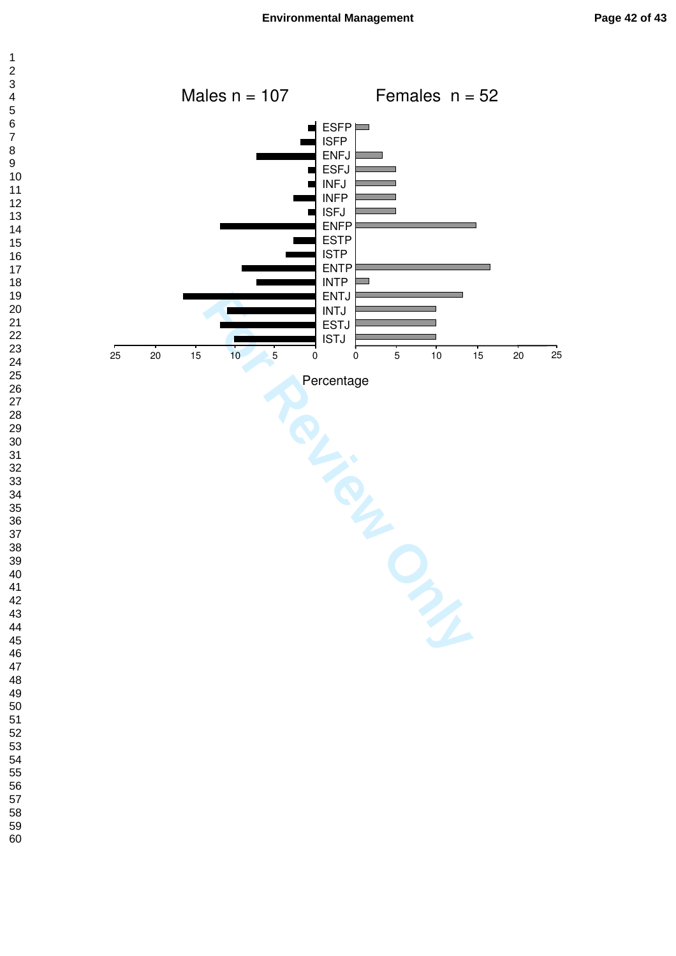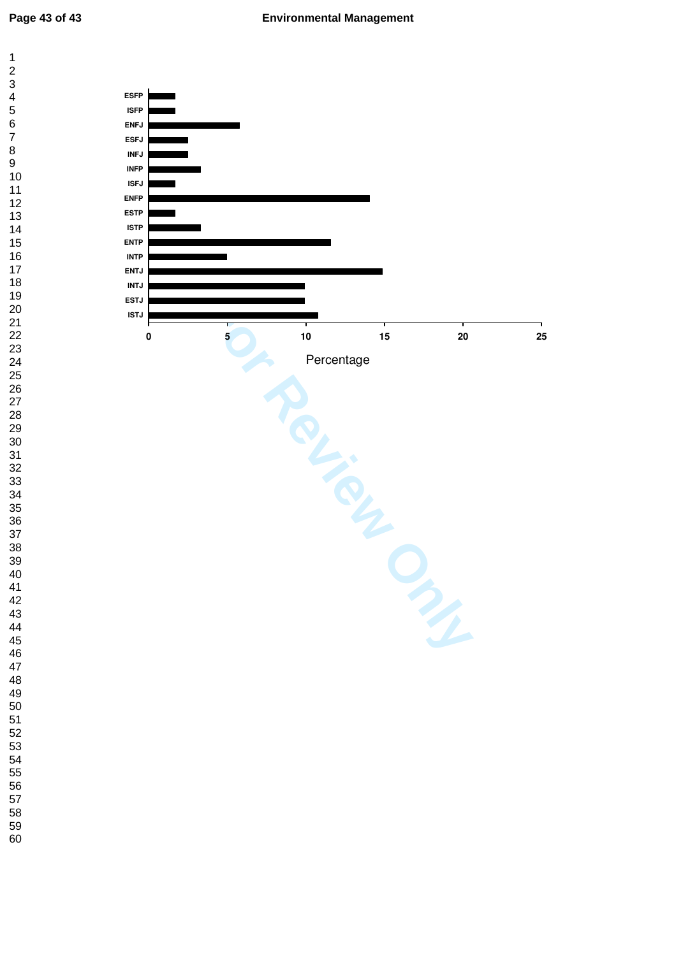| $\mathbf{1}$                          |                                     |   |            |    |            |    |
|---------------------------------------|-------------------------------------|---|------------|----|------------|----|
| $\frac{2}{3}$                         |                                     |   |            |    |            |    |
|                                       |                                     |   |            |    |            |    |
| $\overline{\mathcal{A}}$              | <b>ESFP</b>                         |   |            |    |            |    |
| 5                                     | <b>ISFP</b>                         |   |            |    |            |    |
| $\begin{array}{c} 6 \\ 7 \end{array}$ | <b>ENFJ</b>                         |   |            |    |            |    |
|                                       | <b>ESFJ</b>                         |   |            |    |            |    |
| 8                                     | $\ensuremath{\mathsf{INFJ}}\xspace$ |   |            |    |            |    |
| 9                                     | <b>INFP</b>                         |   |            |    |            |    |
| 10                                    |                                     |   |            |    |            |    |
| 11                                    | <b>ISFJ</b>                         |   |            |    |            |    |
| 12                                    | <b>ENFP</b>                         |   |            |    |            |    |
| 13                                    | <b>ESTP</b>                         |   |            |    |            |    |
| 14                                    | <b>ISTP</b>                         |   |            |    |            |    |
| 15                                    | <b>ENTP</b>                         |   |            |    |            |    |
| $16\,$                                | <b>INTP</b>                         |   |            |    |            |    |
| $17\,$                                |                                     |   |            |    |            |    |
| $18\,$                                | <b>ENTJ</b>                         |   |            |    |            |    |
|                                       | <b>INTJ</b>                         |   |            |    |            |    |
| $19$                                  | <b>ESTJ</b>                         |   |            |    |            |    |
| $20\,$                                | <b>ISTJ</b>                         |   |            |    |            |    |
| 21                                    |                                     |   |            |    |            |    |
| 22                                    | $\pmb{0}$                           | 5 | ${\bf 10}$ | 15 | ${\bf 20}$ | 25 |
| 23                                    |                                     |   | Percentage |    |            |    |
| 24                                    |                                     |   |            |    |            |    |
| 25                                    |                                     |   |            |    |            |    |
| 26                                    |                                     |   |            |    |            |    |
| 27                                    |                                     |   |            |    |            |    |
| 28                                    |                                     |   |            |    |            |    |
| 29                                    |                                     |   |            |    |            |    |
| 30                                    |                                     |   |            |    |            |    |
| 31                                    |                                     |   | TOL.       |    |            |    |
| 32                                    |                                     |   |            |    |            |    |
| 33                                    |                                     |   |            |    |            |    |
| 34                                    |                                     |   |            |    |            |    |
| 35                                    |                                     |   |            |    |            |    |
| 36                                    |                                     |   |            |    |            |    |
| 37                                    |                                     |   |            |    |            |    |
| 38                                    |                                     |   |            |    |            |    |
| 39                                    |                                     |   |            |    |            |    |
| 40                                    |                                     |   |            |    |            |    |
| 41                                    |                                     |   |            |    |            |    |
| 42                                    |                                     |   |            |    |            |    |
| 43                                    |                                     |   |            |    |            |    |
| 44                                    |                                     |   |            |    |            |    |
| 45                                    |                                     |   |            |    |            |    |
| 46                                    |                                     |   |            |    | mar        |    |
| 47                                    |                                     |   |            |    |            |    |
| 48                                    |                                     |   |            |    |            |    |
| 49                                    |                                     |   |            |    |            |    |
| 50                                    |                                     |   |            |    |            |    |
|                                       |                                     |   |            |    |            |    |
| 51                                    |                                     |   |            |    |            |    |
| 52                                    |                                     |   |            |    |            |    |
|                                       |                                     |   |            |    |            |    |
| 53<br>54<br>55<br>56<br>57            |                                     |   |            |    |            |    |
|                                       |                                     |   |            |    |            |    |
|                                       |                                     |   |            |    |            |    |
|                                       |                                     |   |            |    |            |    |
| 58                                    |                                     |   |            |    |            |    |
| 59                                    |                                     |   |            |    |            |    |
| 60                                    |                                     |   |            |    |            |    |